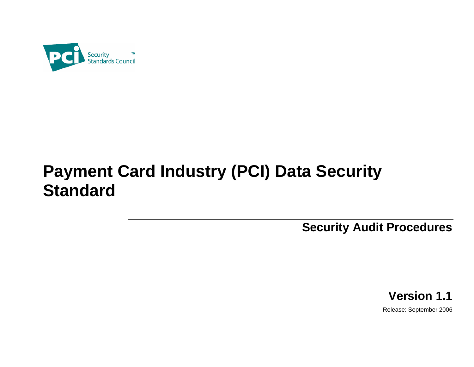

# **Payment Card Industry (PCI) Data Security Standard**

**Security Audit Procedures** 

**Version 1.1** 

Release: September 2006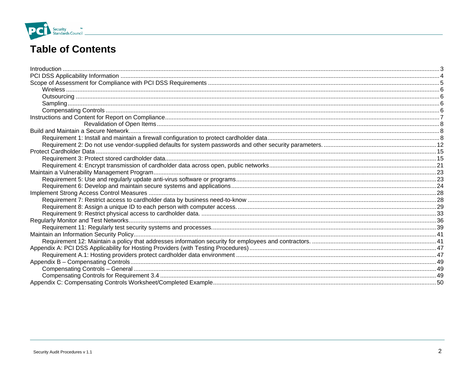

# **Table of Contents**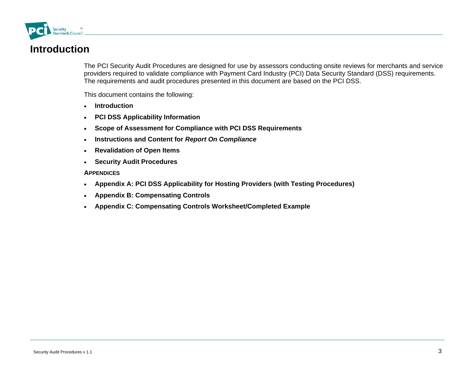<span id="page-2-0"></span>

# **Introduction**

The PCI Security Audit Procedures are designed for use by assessors conducting onsite reviews for merchants and service providers required to validate compliance with Payment Card Industry (PCI) Data Security Standard (DSS) requirements. The requirements and audit procedures presented in this document are based on the PCI DSS.

This document contains the following:

- **Introduction**
- •**PCI DSS Applicability Information**
- **Scope of Assessment for Compliance with PCI DSS Requirements**
- **Instructions and Content for** *Report On Compliance*
- **Revalidation of Open Items**
- **Security Audit Procedures**

#### **APPENDICES**

- **Appendix A: PCI DSS Applicability for Hosting Providers (with Testing Procedures)**
- $\bullet$ **Appendix B: Compensating Controls**
- •**Appendix C: Compensating Controls Worksheet/Completed Example**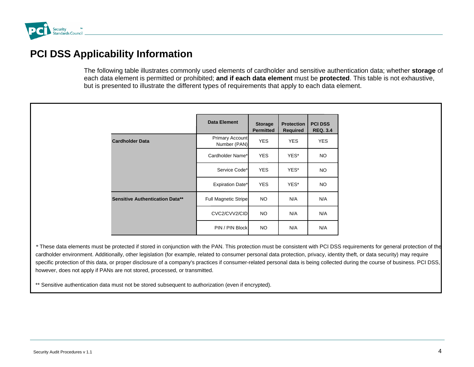<span id="page-3-0"></span>

# **PCI DSS Applicability Information**

The following table illustrates commonly used elements of cardholder and sensitive authentication data; whether **storage** of each data element is permitted or prohibited; **and if each data element** must be **protected**. This table is not exhaustive, but is presented to illustrate the different types of requirements that apply to each data element.

|                                        | Data Element                           | <b>Storage</b><br><b>Permitted</b> | <b>Protection</b><br><b>Required</b> | <b>PCI DSS</b><br><b>REQ. 3.4</b> |
|----------------------------------------|----------------------------------------|------------------------------------|--------------------------------------|-----------------------------------|
| <b>Cardholder Data</b>                 | <b>Primary Account</b><br>Number (PAN) | <b>YES</b>                         | <b>YES</b>                           | <b>YES</b>                        |
|                                        | Cardholder Name*                       | <b>YES</b>                         | YES*                                 | NO.                               |
|                                        | Service Code*                          | <b>YES</b>                         | YES*                                 | NO.                               |
|                                        | <b>Expiration Date*</b>                | <b>YES</b>                         | YES*                                 | NO.                               |
| <b>Sensitive Authentication Data**</b> | <b>Full Magnetic Stripe</b>            | <b>NO</b>                          | N/A                                  | N/A                               |
|                                        | CVC2/CVV2/CID                          | <b>NO</b>                          | N/A                                  | N/A                               |
|                                        | PIN / PIN Block                        | <b>NO</b>                          | N/A                                  | N/A                               |

*\** These data elements must be protected if stored in conjunction with the PAN. This protection must be consistent with PCI DSS requirements for general protection of the cardholder environment. Additionally, other legislation (for example, related to consumer personal data protection, privacy, identity theft, or data security) may require specific protection of this data, or proper disclosure of a company's practices if consumer-related personal data is being collected during the course of business. PCI DSS, however, does not apply if PANs are not stored, processed, or transmitted.

\*\* Sensitive authentication data must not be stored subsequent to authorization (even if encrypted).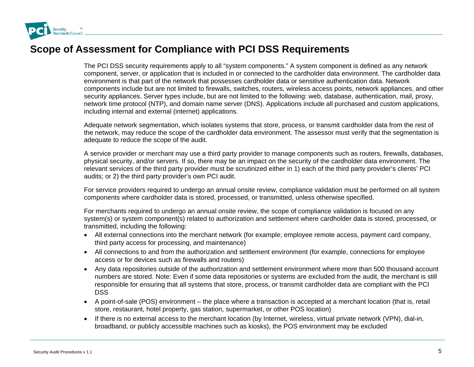<span id="page-4-0"></span>

### **Scope of Assessment for Compliance with PCI DSS Requirements**

The PCI DSS security requirements apply to all "system components." A system component is defined as any network component, server, or application that is included in or connected to the cardholder data environment. The cardholder data environment is that part of the network that possesses cardholder data or sensitive authentication data. Network components include but are not limited to firewalls, switches, routers, wireless access points, network appliances, and other security appliances. Server types include, but are not limited to the following: web, database, authentication, mail, proxy, network time protocol (NTP), and domain name server (DNS). Applications include all purchased and custom applications, including internal and external (internet) applications.

Adequate network segmentation, which isolates systems that store, process, or transmit cardholder data from the rest of the network, may reduce the scope of the cardholder data environment. The assessor must verify that the segmentation is adequate to reduce the scope of the audit.

A service provider or merchant may use a third party provider to manage components such as routers, firewalls, databases, physical security, and/or servers. If so, there may be an impact on the security of the cardholder data environment. The relevant services of the third party provider must be scrutinized either in 1) each of the third party provider's clients' PCI audits; or 2) the third party provider's own PCI audit.

For service providers required to undergo an annual onsite review, compliance validation must be performed on all system components where cardholder data is stored, processed, or transmitted, unless otherwise specified.

For merchants required to undergo an annual onsite review, the scope of compliance validation is focused on any system(s) or system component(s) related to authorization and settlement where cardholder data is stored, processed, or transmitted, including the following:

- All external connections into the merchant network (for example; employee remote access, payment card company, third party access for processing, and maintenance)
- All connections to and from the authorization and settlement environment (for example, connections for employee access or for devices such as firewalls and routers)
- Any data repositories outside of the authorization and settlement environment where more than 500 thousand account numbers are stored. Note: Even if some data repositories or systems are excluded from the audit, the merchant is still responsible for ensuring that all systems that store, process, or transmit cardholder data are compliant with the PCI DSS
- A point-of-sale (POS) environment the place where a transaction is accepted at a merchant location (that is, retail store, restaurant, hotel property, gas station, supermarket, or other POS location)
- If there is no external access to the merchant location (by Internet, wireless, virtual private network (VPN), dial-in, broadband, or publicly accessible machines such as kiosks), the POS environment may be excluded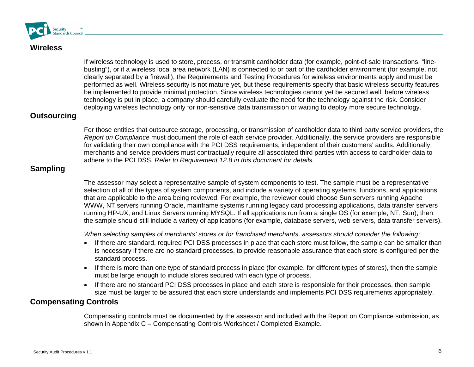<span id="page-5-0"></span>

### **Wireless**

If wireless technology is used to store, process, or transmit cardholder data (for example, point-of-sale transactions, "linebusting"), or if a wireless local area network (LAN) is connected to or part of the cardholder environment (for example, not clearly separated by a firewall), the Requirements and Testing Procedures for wireless environments apply and must be performed as well. Wireless security is not mature yet, but these requirements specify that basic wireless security features be implemented to provide minimal protection. Since wireless technologies cannot yet be secured well, before wireless technology is put in place, a company should carefully evaluate the need for the technology against the risk. Consider deploying wireless technology only for non-sensitive data transmission or waiting to deploy more secure technology.

#### **Outsourcing**

For those entities that outsource storage, processing, or transmission of cardholder data to third party service providers, the *Report on Compliance* must document the role of each service provider. Additionally, the service providers are responsible for validating their own compliance with the PCI DSS requirements, independent of their customers' audits. Additionally, merchants and service providers must contractually require all associated third parties with access to cardholder data to adhere to the PCI DSS. *Refer to Requirement 12.8 in this document for details.* 

### **Sampling**

The assessor may select a representative sample of system components to test. The sample must be a representative selection of all of the types of system components, and include a variety of operating systems, functions, and applications that are applicable to the area being reviewed. For example, the reviewer could choose Sun servers running Apache WWW, NT servers running Oracle, mainframe systems running legacy card processing applications, data transfer servers running HP-UX, and Linux Servers running MYSQL. If all applications run from a single OS (for example, NT, Sun), then the sample should still include a variety of applications (for example, database servers, web servers, data transfer servers).

*When selecting samples of merchants' stores or for franchised merchants, assessors should consider the following:* 

- If there are standard, required PCI DSS processes in place that each store must follow, the sample can be smaller than is necessary if there are no standard processes, to provide reasonable assurance that each store is configured per the standard process.
- If there is more than one type of standard process in place (for example, for different types of stores), then the sample must be large enough to include stores secured with each type of process.
- If there are no standard PCI DSS processes in place and each store is responsible for their processes, then sample size must be larger to be assured that each store understands and implements PCI DSS requirements appropriately.

### **Compensating Controls**

Compensating controls must be documented by the assessor and included with the Report on Compliance submission, as shown in Appendix C – Compensating Controls Worksheet / Completed Example.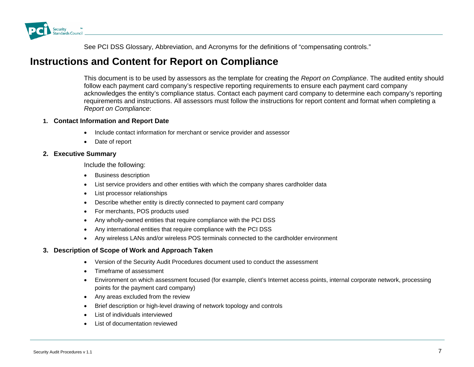<span id="page-6-0"></span>

See PCI DSS Glossary, Abbreviation, and Acronyms for the definitions of "compensating controls."

### **Instructions and Content for Report on Compliance**

This document is to be used by assessors as the template for creating the *Report on Compliance*. The audited entity should follow each payment card company's respective reporting requirements to ensure each payment card company acknowledges the entity's compliance status. Contact each payment card company to determine each company's reporting requirements and instructions. All assessors must follow the instructions for report content and format when completing a *Report on Compliance*:

#### **1. Contact Information and Report Date**

- Include contact information for merchant or service provider and assessor
- •Date of report

#### **2. Exec utive Summary**

Include the following:

- Business description
- •List service providers and other entities with which the company shares cardholder data
- •List processor relationships
- •Describe whether entity is directly connected to payment card company
- For merchants, POS products used
- •Any wholly-owned entities that require compliance with the PCI DSS
- •Any international entities that require compliance with the PCI DSS
- Any wireless LANs and/or wireless POS terminals connected to the cardholder environment

#### **3. Description of Scope of Work and Approach Taken**

- Version of the Security Audit Procedures document used to conduct the assessment
- •Timeframe of assessment
- • Environment on which assessment focused (for example, client's Internet access points, internal corporate network, processing points for the payment card company)
- Any areas excluded from the review
- •Brief description or high-level drawing of network topology and controls
- •List of individuals interviewed
- •List of documentation reviewed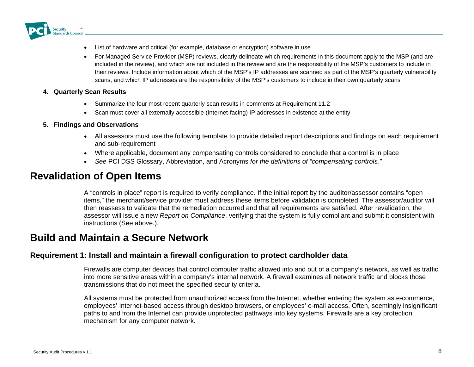<span id="page-7-0"></span>

- List of hardware and critical (for example, database or encryption) software in use
- For Managed Service Provider (MSP) reviews, clearly delineate which requirements in this document apply to the MSP (and are included in the review), and which are not included in the review and are the responsibility of the MSP's customers to include in their reviews. Include information about which of the MSP's IP addresses are scanned as part of the MSP's quarterly vulnerability scans, and which IP addresses are the responsibility of the MSP's customers to include in their own quarterly scans

#### **4. Quart erly Scan Results**

- Summarize the four most recent quarterly scan results in comments at Requirement 11.2
- Scan must cover all externally accessible (Internet-facing) IP addresses in existence at the entity

#### **5. Findi ngs and Observations**

- All assessors must use the following template to provide detailed report descriptions and findings on each requirement and sub-requirement
- Where applicable, document any compensating controls considered to conclude that a control is in place
- $\bullet$ *See* PCI DSS Glossary, Abbreviation, and Acronyms *for the definitions of "compensating controls."*

### **Revalidation of Open Items**

A "controls in place" report is required to verify compliance. If the initial report by the auditor/assessor contains "open items," the merchant/service provider must address these items before validation is completed. The assessor/auditor will then reassess to validate that the remediation occurred and that all requirements are satisfied. After revalidation, the assessor will issue a new *Report on Compliance*, verifying that the system is fully compliant and submit it consistent with instructions (See above.).

### **Build and Maintain a Secure Network**

#### **Requirement 1: Install and maintain a firewall configuration to protect cardholder data**

Firewalls are computer devices that control computer traffic allowed into and out of a company's network, as well as traffic into more sensitive areas within a company's internal network. A firewall examines all network traffic and blocks those transmissions that do not meet the specified security criteria.

All systems must be protected from unauthorized access from the Internet, whether entering the system as e-commerce, employees' Internet-based access through desktop browsers, or employees' e-mail access. Often, seemingly insignificant paths to and from the Internet can provide unprotected pathways into key systems. Firewalls are a key protection mechanism for any computer network.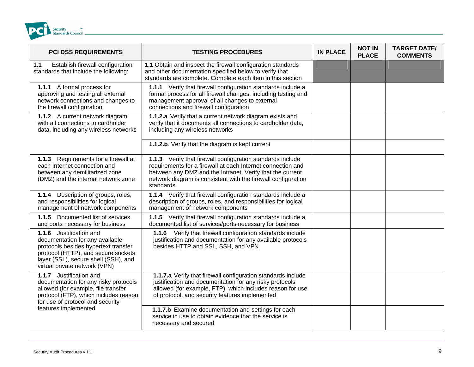

| <b>PCI DSS REQUIREMENTS</b>                                                                                                                                                                                        | <b>TESTING PROCEDURES</b>                                                                                                                                                                                                                                             | <b>IN PLACE</b> | <b>NOT IN</b><br><b>PLACE</b> | <b>TARGET DATE/</b><br><b>COMMENTS</b> |
|--------------------------------------------------------------------------------------------------------------------------------------------------------------------------------------------------------------------|-----------------------------------------------------------------------------------------------------------------------------------------------------------------------------------------------------------------------------------------------------------------------|-----------------|-------------------------------|----------------------------------------|
| Establish firewall configuration<br>1.1<br>standards that include the following:                                                                                                                                   | 1.1 Obtain and inspect the firewall configuration standards<br>and other documentation specified below to verify that<br>standards are complete. Complete each item in this section                                                                                   |                 |                               |                                        |
| 1.1.1 A formal process for<br>approving and testing all external<br>network connections and changes to<br>the firewall configuration                                                                               | 1.1.1 Verify that firewall configuration standards include a<br>formal process for all firewall changes, including testing and<br>management approval of all changes to external<br>connections and firewall configuration                                            |                 |                               |                                        |
| 1.1.2 A current network diagram<br>with all connections to cardholder<br>data, including any wireless networks                                                                                                     | 1.1.2.a Verify that a current network diagram exists and<br>verify that it documents all connections to cardholder data,<br>including any wireless networks                                                                                                           |                 |                               |                                        |
|                                                                                                                                                                                                                    | 1.1.2.b. Verify that the diagram is kept current                                                                                                                                                                                                                      |                 |                               |                                        |
| Requirements for a firewall at<br>1.1.3<br>each Internet connection and<br>between any demilitarized zone<br>(DMZ) and the internal network zone                                                                   | 1.1.3 Verify that firewall configuration standards include<br>requirements for a firewall at each Internet connection and<br>between any DMZ and the Intranet. Verify that the current<br>network diagram is consistent with the firewall configuration<br>standards. |                 |                               |                                        |
| 1.1.4 Description of groups, roles,<br>and responsibilities for logical<br>management of network components                                                                                                        | 1.1.4 Verify that firewall configuration standards include a<br>description of groups, roles, and responsibilities for logical<br>management of network components                                                                                                    |                 |                               |                                        |
| 1.1.5 Documented list of services<br>and ports necessary for business                                                                                                                                              | 1.1.5 Verify that firewall configuration standards include a<br>documented list of services/ports necessary for business                                                                                                                                              |                 |                               |                                        |
| 1.1.6 Justification and<br>documentation for any available<br>protocols besides hypertext transfer<br>protocol (HTTP), and secure sockets<br>layer (SSL), secure shell (SSH), and<br>virtual private network (VPN) | 1.1.6 Verify that firewall configuration standards include<br>justification and documentation for any available protocols<br>besides HTTP and SSL, SSH, and VPN                                                                                                       |                 |                               |                                        |
| 1.1.7 Justification and<br>documentation for any risky protocols<br>allowed (for example, file transfer<br>protocol (FTP), which includes reason<br>for use of protocol and security                               | 1.1.7.a Verify that firewall configuration standards include<br>justification and documentation for any risky protocols<br>allowed (for example, FTP), which includes reason for use<br>of protocol, and security features implemented                                |                 |                               |                                        |
| features implemented                                                                                                                                                                                               | 1.1.7.b Examine documentation and settings for each<br>service in use to obtain evidence that the service is<br>necessary and secured                                                                                                                                 |                 |                               |                                        |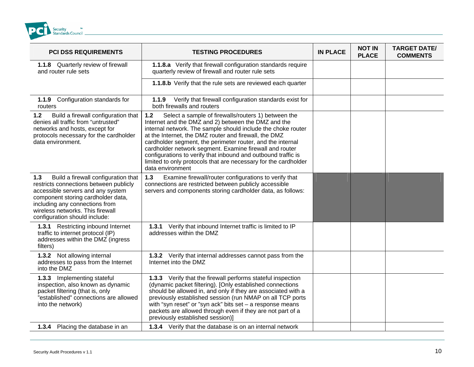

| <b>PCI DSS REQUIREMENTS</b>                                                                                                                                                                                                                                            | <b>TESTING PROCEDURES</b>                                                                                                                                                                                                                                                                                                                                                                                                                                                                                                     | <b>IN PLACE</b> | <b>NOT IN</b><br><b>PLACE</b> | <b>TARGET DATE/</b><br><b>COMMENTS</b> |
|------------------------------------------------------------------------------------------------------------------------------------------------------------------------------------------------------------------------------------------------------------------------|-------------------------------------------------------------------------------------------------------------------------------------------------------------------------------------------------------------------------------------------------------------------------------------------------------------------------------------------------------------------------------------------------------------------------------------------------------------------------------------------------------------------------------|-----------------|-------------------------------|----------------------------------------|
| 1.1.8 Quarterly review of firewall<br>and router rule sets                                                                                                                                                                                                             | 1.1.8.a Verify that firewall configuration standards require<br>quarterly review of firewall and router rule sets                                                                                                                                                                                                                                                                                                                                                                                                             |                 |                               |                                        |
|                                                                                                                                                                                                                                                                        | 1.1.8.b Verify that the rule sets are reviewed each quarter                                                                                                                                                                                                                                                                                                                                                                                                                                                                   |                 |                               |                                        |
| Configuration standards for<br>1.1.9<br>routers                                                                                                                                                                                                                        | 1.1.9 Verify that firewall configuration standards exist for<br>both firewalls and routers                                                                                                                                                                                                                                                                                                                                                                                                                                    |                 |                               |                                        |
| Build a firewall configuration that<br>$1.2$<br>denies all traffic from "untrusted"<br>networks and hosts, except for<br>protocols necessary for the cardholder<br>data environment.                                                                                   | $1.2$<br>Select a sample of firewalls/routers 1) between the<br>Internet and the DMZ and 2) between the DMZ and the<br>internal network. The sample should include the choke router<br>at the Internet, the DMZ router and firewall, the DMZ<br>cardholder segment, the perimeter router, and the internal<br>cardholder network segment. Examine firewall and router<br>configurations to verify that inbound and outbound traffic is<br>limited to only protocols that are necessary for the cardholder<br>data environment |                 |                               |                                        |
| 1.3<br>Build a firewall configuration that<br>restricts connections between publicly<br>accessible servers and any system<br>component storing cardholder data,<br>including any connections from<br>wireless networks. This firewall<br>configuration should include: | $1.3$<br>Examine firewall/router configurations to verify that<br>connections are restricted between publicly accessible<br>servers and components storing cardholder data, as follows:                                                                                                                                                                                                                                                                                                                                       |                 |                               |                                        |
| <b>1.3.1</b> Restricting inbound Internet<br>traffic to internet protocol (IP)<br>addresses within the DMZ (ingress<br>filters)                                                                                                                                        | 1.3.1 Verify that inbound Internet traffic is limited to IP<br>addresses within the DMZ                                                                                                                                                                                                                                                                                                                                                                                                                                       |                 |                               |                                        |
| 1.3.2 Not allowing internal<br>addresses to pass from the Internet<br>into the DMZ                                                                                                                                                                                     | 1.3.2 Verify that internal addresses cannot pass from the<br>Internet into the DMZ                                                                                                                                                                                                                                                                                                                                                                                                                                            |                 |                               |                                        |
| 1.3.3 Implementing stateful<br>inspection, also known as dynamic<br>packet filtering (that is, only<br>"established" connections are allowed<br>into the network)                                                                                                      | 1.3.3 Verify that the firewall performs stateful inspection<br>(dynamic packet filtering). [Only established connections<br>should be allowed in, and only if they are associated with a<br>previously established session (run NMAP on all TCP ports<br>with "syn reset" or "syn ack" bits set - a response means<br>packets are allowed through even if they are not part of a<br>previously established session)]                                                                                                          |                 |                               |                                        |
| 1.3.4 Placing the database in an                                                                                                                                                                                                                                       | 1.3.4 Verify that the database is on an internal network                                                                                                                                                                                                                                                                                                                                                                                                                                                                      |                 |                               |                                        |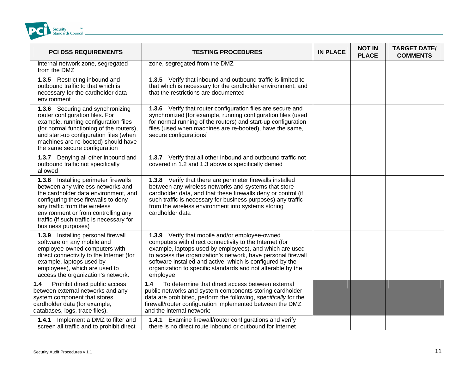

| <b>PCI DSS REQUIREMENTS</b>                                                                                                                                                                                                                                                                         | <b>TESTING PROCEDURES</b>                                                                                                                                                                                                                                                                                                                                                    | <b>IN PLACE</b> | <b>NOT IN</b><br><b>PLACE</b> | <b>TARGET DATE/</b><br><b>COMMENTS</b> |
|-----------------------------------------------------------------------------------------------------------------------------------------------------------------------------------------------------------------------------------------------------------------------------------------------------|------------------------------------------------------------------------------------------------------------------------------------------------------------------------------------------------------------------------------------------------------------------------------------------------------------------------------------------------------------------------------|-----------------|-------------------------------|----------------------------------------|
| internal network zone, segregated<br>from the DMZ                                                                                                                                                                                                                                                   | zone, segregated from the DMZ                                                                                                                                                                                                                                                                                                                                                |                 |                               |                                        |
| 1.3.5 Restricting inbound and<br>outbound traffic to that which is<br>necessary for the cardholder data<br>environment                                                                                                                                                                              | 1.3.5 Verify that inbound and outbound traffic is limited to<br>that which is necessary for the cardholder environment, and<br>that the restrictions are documented                                                                                                                                                                                                          |                 |                               |                                        |
| 1.3.6 Securing and synchronizing<br>router configuration files. For<br>example, running configuration files<br>(for normal functioning of the routers),<br>and start-up configuration files (when<br>machines are re-booted) should have<br>the same secure configuration                           | 1.3.6 Verify that router configuration files are secure and<br>synchronized [for example, running configuration files (used<br>for normal running of the routers) and start-up configuration<br>files (used when machines are re-booted), have the same,<br>secure configurations]                                                                                           |                 |                               |                                        |
| 1.3.7 Denying all other inbound and<br>outbound traffic not specifically<br>allowed                                                                                                                                                                                                                 | 1.3.7 Verify that all other inbound and outbound traffic not<br>covered in 1.2 and 1.3 above is specifically denied                                                                                                                                                                                                                                                          |                 |                               |                                        |
| 1.3.8 Installing perimeter firewalls<br>between any wireless networks and<br>the cardholder data environment, and<br>configuring these firewalls to deny<br>any traffic from the wireless<br>environment or from controlling any<br>traffic (if such traffic is necessary for<br>business purposes) | 1.3.8 Verify that there are perimeter firewalls installed<br>between any wireless networks and systems that store<br>cardholder data, and that these firewalls deny or control (if<br>such traffic is necessary for business purposes) any traffic<br>from the wireless environment into systems storing<br>cardholder data                                                  |                 |                               |                                        |
| 1.3.9 Installing personal firewall<br>software on any mobile and<br>employee-owned computers with<br>direct connectivity to the Internet (for<br>example, laptops used by<br>employees), which are used to<br>access the organization's network.                                                    | 1.3.9 Verify that mobile and/or employee-owned<br>computers with direct connectivity to the Internet (for<br>example, laptops used by employees), and which are used<br>to access the organization's network, have personal firewall<br>software installed and active, which is configured by the<br>organization to specific standards and not alterable by the<br>employee |                 |                               |                                        |
| Prohibit direct public access<br>1.4<br>between external networks and any<br>system component that stores<br>cardholder data (for example,<br>databases, logs, trace files).                                                                                                                        | 1.4<br>To determine that direct access between external<br>public networks and system components storing cardholder<br>data are prohibited, perform the following, specifically for the<br>firewall/router configuration implemented between the DMZ<br>and the internal network:                                                                                            |                 |                               |                                        |
| 1.4.1 Implement a DMZ to filter and<br>screen all traffic and to prohibit direct                                                                                                                                                                                                                    | 1.4.1 Examine firewall/router configurations and verify<br>there is no direct route inbound or outbound for Internet                                                                                                                                                                                                                                                         |                 |                               |                                        |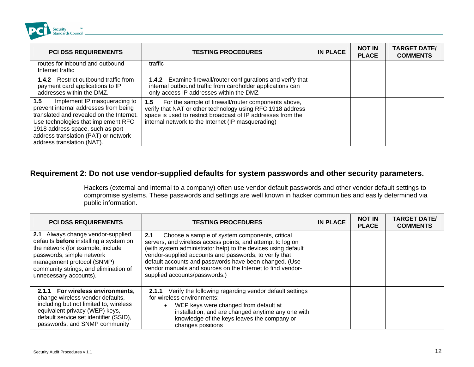<span id="page-11-0"></span>

| <b>PCI DSS REQUIREMENTS</b>                                                                                                                                                                                                                                               | <b>TESTING PROCEDURES</b>                                                                                                                                                                                                                      | <b>IN PLACE</b> | <b>NOT IN</b><br><b>PLACE</b> | <b>TARGET DATE/</b><br><b>COMMENTS</b> |
|---------------------------------------------------------------------------------------------------------------------------------------------------------------------------------------------------------------------------------------------------------------------------|------------------------------------------------------------------------------------------------------------------------------------------------------------------------------------------------------------------------------------------------|-----------------|-------------------------------|----------------------------------------|
| routes for inbound and outbound<br>Internet traffic                                                                                                                                                                                                                       | traffic                                                                                                                                                                                                                                        |                 |                               |                                        |
| Restrict outbound traffic from<br>1.4.2<br>payment card applications to IP<br>addresses within the DMZ.                                                                                                                                                                   | 1.4.2 Examine firewall/router configurations and verify that<br>internal outbound traffic from cardholder applications can<br>only access IP addresses within the DMZ                                                                          |                 |                               |                                        |
| 1.5<br>Implement IP masquerading to<br>prevent internal addresses from being<br>translated and revealed on the Internet.<br>Use technologies that implement RFC<br>1918 address space, such as port<br>address translation (PAT) or network<br>address translation (NAT). | For the sample of firewall/router components above,<br>1.5<br>verify that NAT or other technology using RFC 1918 address<br>space is used to restrict broadcast of IP addresses from the<br>internal network to the Internet (IP masquerading) |                 |                               |                                        |

#### Requirement 2: Do not use vendor-supplied defaults for system passwords and other security parameters.

Hackers (external and internal to a company) often use vendor default passwords and other vendor default settings to compromise systems. These passwords and settings are well known in hacker communities and easily determined via public information.

| <b>PCI DSS REQUIREMENTS</b>                                                                                                                                                                                                                    | <b>TESTING PROCEDURES</b>                                                                                                                                                                                                                                                                                                                                                                               | <b>IN PLACE</b> | <b>NOT IN</b><br><b>PLACE</b> | <b>TARGET DATE/</b><br><b>COMMENTS</b> |
|------------------------------------------------------------------------------------------------------------------------------------------------------------------------------------------------------------------------------------------------|---------------------------------------------------------------------------------------------------------------------------------------------------------------------------------------------------------------------------------------------------------------------------------------------------------------------------------------------------------------------------------------------------------|-----------------|-------------------------------|----------------------------------------|
| 2.1 Always change vendor-supplied<br>defaults before installing a system on<br>the network (for example, include<br>passwords, simple network<br>management protocol (SNMP)<br>community strings, and elimination of<br>unnecessary accounts). | 2.1<br>Choose a sample of system components, critical<br>servers, and wireless access points, and attempt to log on<br>(with system administrator help) to the devices using default<br>vendor-supplied accounts and passwords, to verify that<br>default accounts and passwords have been changed. (Use<br>vendor manuals and sources on the Internet to find vendor-<br>supplied accounts/passwords.) |                 |                               |                                        |
| 2.1.1 For wireless environments.<br>change wireless vendor defaults,<br>including but not limited to, wireless<br>equivalent privacy (WEP) keys,<br>default service set identifier (SSID),<br>passwords, and SNMP community                    | <b>2.1.1</b> Verify the following regarding vendor default settings<br>for wireless environments:<br>WEP keys were changed from default at<br>installation, and are changed anytime any one with<br>knowledge of the keys leaves the company or<br>changes positions                                                                                                                                    |                 |                               |                                        |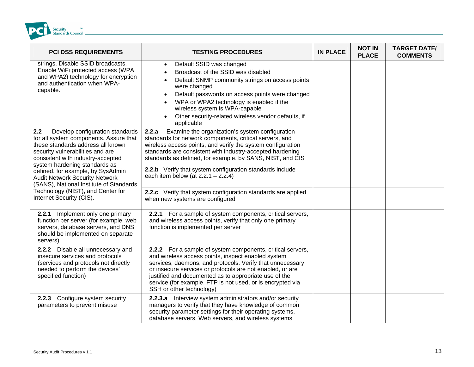

| <b>PCI DSS REQUIREMENTS</b>                                                                                                                                                                                                     | <b>TESTING PROCEDURES</b>                                                                                                                                                                                                                                                                                                                                                                     | <b>IN PLACE</b> | <b>NOT IN</b><br><b>PLACE</b> | <b>TARGET DATE/</b><br><b>COMMENTS</b> |
|---------------------------------------------------------------------------------------------------------------------------------------------------------------------------------------------------------------------------------|-----------------------------------------------------------------------------------------------------------------------------------------------------------------------------------------------------------------------------------------------------------------------------------------------------------------------------------------------------------------------------------------------|-----------------|-------------------------------|----------------------------------------|
| strings. Disable SSID broadcasts.<br>Enable WiFi protected access (WPA<br>and WPA2) technology for encryption<br>and authentication when WPA-<br>capable.                                                                       | Default SSID was changed<br>Broadcast of the SSID was disabled<br>Default SNMP community strings on access points<br>were changed<br>Default passwords on access points were changed<br>WPA or WPA2 technology is enabled if the<br>wireless system is WPA-capable<br>Other security-related wireless vendor defaults, if<br>applicable                                                       |                 |                               |                                        |
| Develop configuration standards<br>2.2<br>for all system components. Assure that<br>these standards address all known<br>security vulnerabilities and are<br>consistent with industry-accepted<br>system hardening standards as | Examine the organization's system configuration<br>2.2.a<br>standards for network components, critical servers, and<br>wireless access points, and verify the system configuration<br>standards are consistent with industry-accepted hardening<br>standards as defined, for example, by SANS, NIST, and CIS                                                                                  |                 |                               |                                        |
| defined, for example, by SysAdmin<br><b>Audit Network Security Network</b><br>(SANS), National Institute of Standards<br>Technology (NIST), and Center for<br>Internet Security (CIS).                                          | 2.2.b Verify that system configuration standards include<br>each item below (at $2.2.1 - 2.2.4$ )                                                                                                                                                                                                                                                                                             |                 |                               |                                        |
|                                                                                                                                                                                                                                 | 2.2.c Verify that system configuration standards are applied<br>when new systems are configured                                                                                                                                                                                                                                                                                               |                 |                               |                                        |
| 2.2.1 Implement only one primary<br>function per server (for example, web<br>servers, database servers, and DNS<br>should be implemented on separate<br>servers)                                                                | 2.2.1 For a sample of system components, critical servers,<br>and wireless access points, verify that only one primary<br>function is implemented per server                                                                                                                                                                                                                                  |                 |                               |                                        |
| 2.2.2 Disable all unnecessary and<br>insecure services and protocols<br>(services and protocols not directly<br>needed to perform the devices'<br>specified function)                                                           | 2.2.2 For a sample of system components, critical servers,<br>and wireless access points, inspect enabled system<br>services, daemons, and protocols. Verify that unnecessary<br>or insecure services or protocols are not enabled, or are<br>justified and documented as to appropriate use of the<br>service (for example, FTP is not used, or is encrypted via<br>SSH or other technology) |                 |                               |                                        |
| Configure system security<br>2.2.3<br>parameters to prevent misuse                                                                                                                                                              | 2.2.3.a Interview system administrators and/or security<br>managers to verify that they have knowledge of common<br>security parameter settings for their operating systems,<br>database servers, Web servers, and wireless systems                                                                                                                                                           |                 |                               |                                        |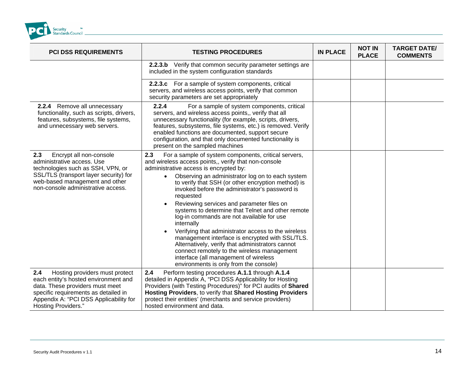

| <b>PCI DSS REQUIREMENTS</b>                                                                                                                                                                                               | <b>TESTING PROCEDURES</b>                                                                                                                                                                                                                                                                                                                                                                                                                                                                                                                                                                                                                                                                                                                                                                                        | <b>IN PLACE</b> | <b>NOT IN</b><br><b>PLACE</b> | <b>TARGET DATE/</b><br><b>COMMENTS</b> |
|---------------------------------------------------------------------------------------------------------------------------------------------------------------------------------------------------------------------------|------------------------------------------------------------------------------------------------------------------------------------------------------------------------------------------------------------------------------------------------------------------------------------------------------------------------------------------------------------------------------------------------------------------------------------------------------------------------------------------------------------------------------------------------------------------------------------------------------------------------------------------------------------------------------------------------------------------------------------------------------------------------------------------------------------------|-----------------|-------------------------------|----------------------------------------|
|                                                                                                                                                                                                                           | 2.2.3.b Verify that common security parameter settings are<br>included in the system configuration standards                                                                                                                                                                                                                                                                                                                                                                                                                                                                                                                                                                                                                                                                                                     |                 |                               |                                        |
|                                                                                                                                                                                                                           | 2.2.3.c For a sample of system components, critical<br>servers, and wireless access points, verify that common<br>security parameters are set appropriately                                                                                                                                                                                                                                                                                                                                                                                                                                                                                                                                                                                                                                                      |                 |                               |                                        |
| 2.2.4 Remove all unnecessary<br>functionality, such as scripts, drivers,<br>features, subsystems, file systems,<br>and unnecessary web servers.                                                                           | 2.2.4<br>For a sample of system components, critical<br>servers, and wireless access points,, verify that all<br>unnecessary functionality (for example, scripts, drivers,<br>features, subsystems, file systems, etc.) is removed. Verify<br>enabled functions are documented, support secure<br>configuration, and that only documented functionality is<br>present on the sampled machines                                                                                                                                                                                                                                                                                                                                                                                                                    |                 |                               |                                        |
| Encrypt all non-console<br>2.3<br>administrative access. Use<br>technologies such as SSH, VPN, or<br>SSL/TLS (transport layer security) for<br>web-based management and other<br>non-console administrative access.       | 2.3<br>For a sample of system components, critical servers,<br>and wireless access points,, verify that non-console<br>administrative access is encrypted by:<br>Observing an administrator log on to each system<br>$\bullet$<br>to verify that SSH (or other encryption method) is<br>invoked before the administrator's password is<br>requested<br>Reviewing services and parameter files on<br>systems to determine that Telnet and other remote<br>log-in commands are not available for use<br>internally<br>Verifying that administrator access to the wireless<br>management interface is encrypted with SSL/TLS.<br>Alternatively, verify that administrators cannot<br>connect remotely to the wireless management<br>interface (all management of wireless<br>environments is only from the console) |                 |                               |                                        |
| 2.4<br>Hosting providers must protect<br>each entity's hosted environment and<br>data. These providers must meet<br>specific requirements as detailed in<br>Appendix A: "PCI DSS Applicability for<br>Hosting Providers." | 2.4<br>Perform testing procedures A.1.1 through A.1.4<br>detailed in Appendix A, "PCI DSS Applicability for Hosting<br>Providers (with Testing Procedures)" for PCI audits of Shared<br>Hosting Providers, to verify that Shared Hosting Providers<br>protect their entities' (merchants and service providers)<br>hosted environment and data.                                                                                                                                                                                                                                                                                                                                                                                                                                                                  |                 |                               |                                        |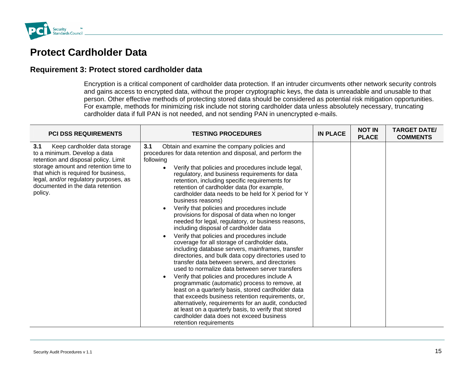

### **Protect Cardholder Data**

#### **Requirement 3: Protect stored cardholder data**

Encryption is a critical component of cardholder data protection. If an intruder circumvents other network security controls and gains access to encrypted data, without the proper cryptographic keys, the data is unreadable and unusable to that person. Other effective methods of protecting stored data should be considered as potential risk mitigation opportunities. For example, methods for minimizing risk include not storing cardholder data unless absolutely necessary, truncating cardholder data if full PAN is not needed, and not sending PAN in unencrypted e-mails.

| <b>PCI DSS REQUIREMENTS</b>                                                                                                                                                                                                                                                         | <b>TESTING PROCEDURES</b>                                                                                                                                                                                                                                                                                                                                                                                                                                                                                                                                                                                                                                                                                                                                                                                                                                                                                                                                                                                                                                                                                                                                                                                                                                                                                                            | <b>IN PLACE</b> | <b>NOT IN</b><br><b>PLACE</b> | <b>TARGET DATE/</b><br><b>COMMENTS</b> |
|-------------------------------------------------------------------------------------------------------------------------------------------------------------------------------------------------------------------------------------------------------------------------------------|--------------------------------------------------------------------------------------------------------------------------------------------------------------------------------------------------------------------------------------------------------------------------------------------------------------------------------------------------------------------------------------------------------------------------------------------------------------------------------------------------------------------------------------------------------------------------------------------------------------------------------------------------------------------------------------------------------------------------------------------------------------------------------------------------------------------------------------------------------------------------------------------------------------------------------------------------------------------------------------------------------------------------------------------------------------------------------------------------------------------------------------------------------------------------------------------------------------------------------------------------------------------------------------------------------------------------------------|-----------------|-------------------------------|----------------------------------------|
| 3.1<br>Keep cardholder data storage<br>to a minimum. Develop a data<br>retention and disposal policy. Limit<br>storage amount and retention time to<br>that which is required for business,<br>legal, and/or regulatory purposes, as<br>documented in the data retention<br>policy. | 3.1<br>Obtain and examine the company policies and<br>procedures for data retention and disposal, and perform the<br>following<br>Verify that policies and procedures include legal,<br>regulatory, and business requirements for data<br>retention, including specific requirements for<br>retention of cardholder data (for example,<br>cardholder data needs to be held for X period for Y<br>business reasons)<br>Verify that policies and procedures include<br>provisions for disposal of data when no longer<br>needed for legal, regulatory, or business reasons,<br>including disposal of cardholder data<br>Verify that policies and procedures include<br>coverage for all storage of cardholder data,<br>including database servers, mainframes, transfer<br>directories, and bulk data copy directories used to<br>transfer data between servers, and directories<br>used to normalize data between server transfers<br>Verify that policies and procedures include A<br>programmatic (automatic) process to remove, at<br>least on a quarterly basis, stored cardholder data<br>that exceeds business retention requirements, or,<br>alternatively, requirements for an audit, conducted<br>at least on a quarterly basis, to verify that stored<br>cardholder data does not exceed business<br>retention requirements |                 |                               |                                        |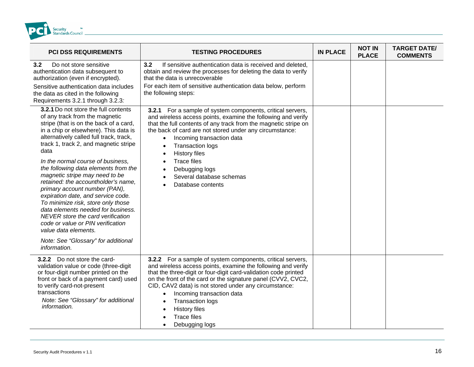<span id="page-15-0"></span>

| <b>PCI DSS REQUIREMENTS</b>                                                                                                                                                                                                                                                                                                                                                                                                                                                                                                                                                                                                                                                                                             | <b>TESTING PROCEDURES</b>                                                                                                                                                                                                                                                                                                                                                                                                                                                | <b>IN PLACE</b> | <b>NOT IN</b><br><b>PLACE</b> | <b>TARGET DATE/</b><br><b>COMMENTS</b> |
|-------------------------------------------------------------------------------------------------------------------------------------------------------------------------------------------------------------------------------------------------------------------------------------------------------------------------------------------------------------------------------------------------------------------------------------------------------------------------------------------------------------------------------------------------------------------------------------------------------------------------------------------------------------------------------------------------------------------------|--------------------------------------------------------------------------------------------------------------------------------------------------------------------------------------------------------------------------------------------------------------------------------------------------------------------------------------------------------------------------------------------------------------------------------------------------------------------------|-----------------|-------------------------------|----------------------------------------|
| 3.2<br>Do not store sensitive<br>authentication data subsequent to<br>authorization (even if encrypted).<br>Sensitive authentication data includes<br>the data as cited in the following<br>Requirements 3.2.1 through 3.2.3.                                                                                                                                                                                                                                                                                                                                                                                                                                                                                           | 3.2<br>If sensitive authentication data is received and deleted.<br>obtain and review the processes for deleting the data to verify<br>that the data is unrecoverable<br>For each item of sensitive authentication data below, perform<br>the following steps:                                                                                                                                                                                                           |                 |                               |                                        |
| 3.2.1 Do not store the full contents<br>of any track from the magnetic<br>stripe (that is on the back of a card,<br>in a chip or elsewhere). This data is<br>alternatively called full track, track,<br>track 1, track 2, and magnetic stripe<br>data<br>In the normal course of business,<br>the following data elements from the<br>magnetic stripe may need to be<br>retained: the accountholder's name.<br>primary account number (PAN),<br>expiration date, and service code.<br>To minimize risk, store only those<br>data elements needed for business.<br>NEVER store the card verification<br>code or value or PIN verification<br>value data elements.<br>Note: See "Glossary" for additional<br>information. | 3.2.1 For a sample of system components, critical servers,<br>and wireless access points, examine the following and verify<br>that the full contents of any track from the magnetic stripe on<br>the back of card are not stored under any circumstance:<br>Incoming transaction data<br>$\bullet$<br><b>Transaction logs</b><br>$\bullet$<br><b>History files</b><br><b>Trace files</b><br>Debugging logs<br>Several database schemas<br>Database contents              |                 |                               |                                        |
| 3.2.2 Do not store the card-<br>validation value or code (three-digit<br>or four-digit number printed on the<br>front or back of a payment card) used<br>to verify card-not-present<br>transactions<br>Note: See "Glossary" for additional<br>information.                                                                                                                                                                                                                                                                                                                                                                                                                                                              | 3.2.2 For a sample of system components, critical servers,<br>and wireless access points, examine the following and verify<br>that the three-digit or four-digit card-validation code printed<br>on the front of the card or the signature panel (CVV2, CVC2,<br>CID, CAV2 data) is not stored under any circumstance:<br>Incoming transaction data<br>$\bullet$<br><b>Transaction logs</b><br>$\bullet$<br><b>History files</b><br><b>Trace files</b><br>Debugging logs |                 |                               |                                        |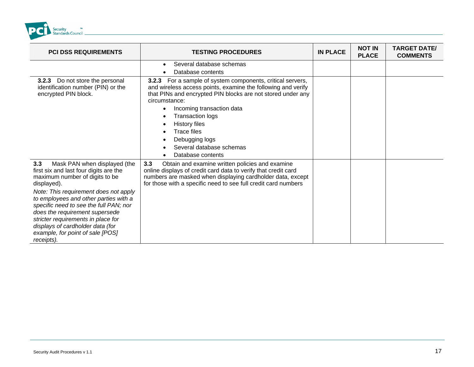

| <b>PCI DSS REQUIREMENTS</b>                                                                                                                                                                                                                                                                                                                                                                                              | <b>TESTING PROCEDURES</b>                                                                                                                                                                                                                                                                                                                                                                                        | <b>IN PLACE</b> | <b>NOT IN</b><br><b>PLACE</b> | <b>TARGET DATE/</b><br><b>COMMENTS</b> |
|--------------------------------------------------------------------------------------------------------------------------------------------------------------------------------------------------------------------------------------------------------------------------------------------------------------------------------------------------------------------------------------------------------------------------|------------------------------------------------------------------------------------------------------------------------------------------------------------------------------------------------------------------------------------------------------------------------------------------------------------------------------------------------------------------------------------------------------------------|-----------------|-------------------------------|----------------------------------------|
|                                                                                                                                                                                                                                                                                                                                                                                                                          | Several database schemas<br>$\bullet$<br>Database contents                                                                                                                                                                                                                                                                                                                                                       |                 |                               |                                        |
| 3.2.3 Do not store the personal<br>identification number (PIN) or the<br>encrypted PIN block.                                                                                                                                                                                                                                                                                                                            | For a sample of system components, critical servers,<br>3.2.3<br>and wireless access points, examine the following and verify<br>that PINs and encrypted PIN blocks are not stored under any<br>circumstance:<br>Incoming transaction data<br>$\bullet$<br><b>Transaction logs</b><br><b>History files</b><br>$\bullet$<br><b>Trace files</b><br>Debugging logs<br>Several database schemas<br>Database contents |                 |                               |                                        |
| 3.3<br>Mask PAN when displayed (the<br>first six and last four digits are the<br>maximum number of digits to be<br>displayed).<br>Note: This requirement does not apply<br>to employees and other parties with a<br>specific need to see the full PAN; nor<br>does the requirement supersede<br>stricter requirements in place for<br>displays of cardholder data (for<br>example, for point of sale [POS]<br>receipts). | 3.3<br>Obtain and examine written policies and examine<br>online displays of credit card data to verify that credit card<br>numbers are masked when displaying cardholder data, except<br>for those with a specific need to see full credit card numbers                                                                                                                                                         |                 |                               |                                        |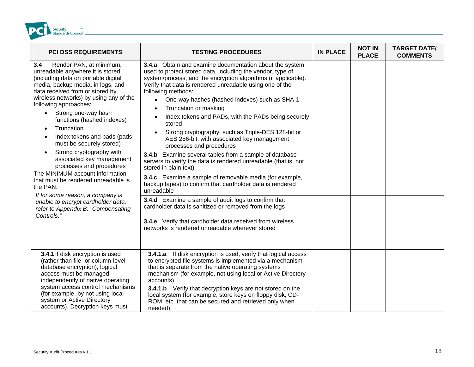

| <b>PCI DSS REQUIREMENTS</b>                                                                                                                                                                                                                                                                                                                                                                                                                                                                                                                                                                                                                                                                                                                     | <b>TESTING PROCEDURES</b>                                                                                                                                                                                                                                                                                                                                                                                                                                                                                                                                                                                                                                                                                                                                                                                                                                                                                                                                                                                                                                                                                                             | <b>IN PLACE</b> | <b>NOT IN</b><br><b>PLACE</b> | <b>TARGET DATE/</b><br><b>COMMENTS</b> |
|-------------------------------------------------------------------------------------------------------------------------------------------------------------------------------------------------------------------------------------------------------------------------------------------------------------------------------------------------------------------------------------------------------------------------------------------------------------------------------------------------------------------------------------------------------------------------------------------------------------------------------------------------------------------------------------------------------------------------------------------------|---------------------------------------------------------------------------------------------------------------------------------------------------------------------------------------------------------------------------------------------------------------------------------------------------------------------------------------------------------------------------------------------------------------------------------------------------------------------------------------------------------------------------------------------------------------------------------------------------------------------------------------------------------------------------------------------------------------------------------------------------------------------------------------------------------------------------------------------------------------------------------------------------------------------------------------------------------------------------------------------------------------------------------------------------------------------------------------------------------------------------------------|-----------------|-------------------------------|----------------------------------------|
| 3.4<br>Render PAN, at minimum,<br>unreadable anywhere it is stored<br>(including data on portable digital<br>media, backup media, in logs, and<br>data received from or stored by<br>wireless networks) by using any of the<br>following approaches:<br>Strong one-way hash<br>$\bullet$<br>functions (hashed indexes)<br>Truncation<br>$\bullet$<br>Index tokens and pads (pads<br>$\bullet$<br>must be securely stored)<br>Strong cryptography with<br>$\bullet$<br>associated key management<br>processes and procedures<br>The MINIMUM account information<br>that must be rendered unreadable is<br>the PAN.<br>If for some reason, a company is<br>unable to encrypt cardholder data,<br>refer to Appendix B: "Compensating<br>Controls.' | 3.4.a Obtain and examine documentation about the system<br>used to protect stored data, including the vendor, type of<br>system/process, and the encryption algorithms (if applicable).<br>Verify that data is rendered unreadable using one of the<br>following methods:<br>One-way hashes (hashed indexes) such as SHA-1<br>$\bullet$<br>Truncation or masking<br>$\bullet$<br>Index tokens and PADs, with the PADs being securely<br>$\bullet$<br>stored<br>Strong cryptography, such as Triple-DES 128-bit or<br>$\bullet$<br>AES 256-bit, with associated key management<br>processes and procedures<br>3.4.b Examine several tables from a sample of database<br>servers to verify the data is rendered unreadable (that is, not<br>stored in plain text)<br>3.4.c Examine a sample of removable media (for example,<br>backup tapes) to confirm that cardholder data is rendered<br>unreadable<br>3.4.d Examine a sample of audit logs to confirm that<br>cardholder data is sanitized or removed from the logs<br>3.4.e Verify that cardholder data received from wireless<br>networks is rendered unreadable wherever stored |                 |                               |                                        |
| 3.4.1 If disk encryption is used<br>(rather than file- or column-level<br>database encryption), logical<br>access must be managed<br>independently of native operating<br>system access control mechanisms<br>(for example, by not using local<br>system or Active Directory<br>accounts). Decryption keys must                                                                                                                                                                                                                                                                                                                                                                                                                                 | <b>3.4.1.a</b> If disk encryption is used, verify that logical access<br>to encrypted file systems is implemented via a mechanism<br>that is separate from the native operating systems<br>mechanism (for example, not using local or Active Directory<br>accounts)<br>3.4.1.b Verify that decryption keys are not stored on the<br>local system (for example, store keys on floppy disk, CD-<br>ROM, etc. that can be secured and retrieved only when<br>needed)                                                                                                                                                                                                                                                                                                                                                                                                                                                                                                                                                                                                                                                                     |                 |                               |                                        |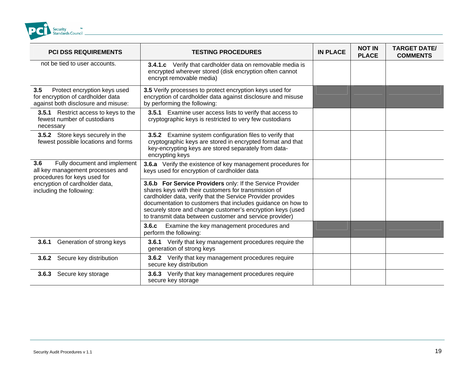

| <b>PCI DSS REQUIREMENTS</b>                                                                                     | <b>TESTING PROCEDURES</b>                                                                                                                                                                                                                                                                                                                                               | <b>IN PLACE</b> | <b>NOT IN</b><br><b>PLACE</b> | <b>TARGET DATE/</b><br><b>COMMENTS</b> |
|-----------------------------------------------------------------------------------------------------------------|-------------------------------------------------------------------------------------------------------------------------------------------------------------------------------------------------------------------------------------------------------------------------------------------------------------------------------------------------------------------------|-----------------|-------------------------------|----------------------------------------|
| not be tied to user accounts.                                                                                   | <b>3.4.1.c</b> Verify that cardholder data on removable media is<br>encrypted wherever stored (disk encryption often cannot<br>encrypt removable media)                                                                                                                                                                                                                 |                 |                               |                                        |
| 3.5<br>Protect encryption keys used<br>for encryption of cardholder data<br>against both disclosure and misuse: | 3.5 Verify processes to protect encryption keys used for<br>encryption of cardholder data against disclosure and misuse<br>by performing the following:                                                                                                                                                                                                                 |                 |                               |                                        |
| 3.5.1 Restrict access to keys to the<br>fewest number of custodians<br>necessary                                | Examine user access lists to verify that access to<br>3.5.1<br>cryptographic keys is restricted to very few custodians                                                                                                                                                                                                                                                  |                 |                               |                                        |
| 3.5.2 Store keys securely in the<br>fewest possible locations and forms                                         | Examine system configuration files to verify that<br>3.5.2<br>cryptographic keys are stored in encrypted format and that<br>key-encrypting keys are stored separately from data-<br>encrypting keys                                                                                                                                                                     |                 |                               |                                        |
| 3.6<br>Fully document and implement<br>all key management processes and<br>procedures for keys used for         | 3.6.a Verify the existence of key management procedures for<br>keys used for encryption of cardholder data                                                                                                                                                                                                                                                              |                 |                               |                                        |
| encryption of cardholder data,<br>including the following:                                                      | 3.6.b For Service Providers only: If the Service Provider<br>shares keys with their customers for transmission of<br>cardholder data, verify that the Service Provider provides<br>documentation to customers that includes guidance on how to<br>securely store and change customer's encryption keys (used<br>to transmit data between customer and service provider) |                 |                               |                                        |
|                                                                                                                 | 3.6.c<br>Examine the key management procedures and<br>perform the following:                                                                                                                                                                                                                                                                                            |                 |                               |                                        |
| Generation of strong keys<br>3.6.1                                                                              | Verify that key management procedures require the<br>3.6.1<br>generation of strong keys                                                                                                                                                                                                                                                                                 |                 |                               |                                        |
| 3.6.2 Secure key distribution                                                                                   | 3.6.2 Verify that key management procedures require<br>secure key distribution                                                                                                                                                                                                                                                                                          |                 |                               |                                        |
| Secure key storage<br>3.6.3                                                                                     | <b>3.6.3</b> Verify that key management procedures require<br>secure key storage                                                                                                                                                                                                                                                                                        |                 |                               |                                        |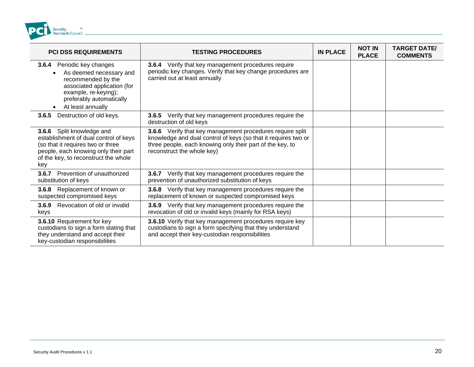

| <b>PCI DSS REQUIREMENTS</b>                                                                                                                                                                         | <b>TESTING PROCEDURES</b>                                                                                                                                                                                              | <b>IN PLACE</b> | <b>NOT IN</b><br><b>PLACE</b> | <b>TARGET DATE/</b><br><b>COMMENTS</b> |
|-----------------------------------------------------------------------------------------------------------------------------------------------------------------------------------------------------|------------------------------------------------------------------------------------------------------------------------------------------------------------------------------------------------------------------------|-----------------|-------------------------------|----------------------------------------|
| Periodic key changes<br>3.6.4<br>As deemed necessary and<br>recommended by the<br>associated application (for<br>example, re-keying);<br>preferably automatically<br>At least annually<br>$\bullet$ | <b>3.6.4</b> Verify that key management procedures require<br>periodic key changes. Verify that key change procedures are<br>carried out at least annually                                                             |                 |                               |                                        |
| Destruction of old keys.<br>3.6.5                                                                                                                                                                   | Verify that key management procedures require the<br>3.6.5<br>destruction of old keys                                                                                                                                  |                 |                               |                                        |
| 3.6.6 Split knowledge and<br>establishment of dual control of keys<br>(so that it requires two or three<br>people, each knowing only their part<br>of the key, to reconstruct the whole<br>key      | 3.6.6 Verify that key management procedures require split<br>knowledge and dual control of keys (so that it requires two or<br>three people, each knowing only their part of the key, to<br>reconstruct the whole key) |                 |                               |                                        |
| Prevention of unauthorized<br>3.6.7<br>substitution of keys                                                                                                                                         | Verify that key management procedures require the<br>3.6.7<br>prevention of unauthorized substitution of keys                                                                                                          |                 |                               |                                        |
| Replacement of known or<br>3.6.8<br>suspected compromised keys                                                                                                                                      | 3.6.8 Verify that key management procedures require the<br>replacement of known or suspected compromised keys                                                                                                          |                 |                               |                                        |
| Revocation of old or invalid<br>3.6.9<br>keys                                                                                                                                                       | <b>3.6.9</b> Verify that key management procedures require the<br>revocation of old or invalid keys (mainly for RSA keys)                                                                                              |                 |                               |                                        |
| 3.6.10 Requirement for key<br>custodians to sign a form stating that<br>they understand and accept their<br>key-custodian responsibilities                                                          | 3.6.10 Verify that key management procedures require key<br>custodians to sign a form specifying that they understand<br>and accept their key-custodian responsibilities                                               |                 |                               |                                        |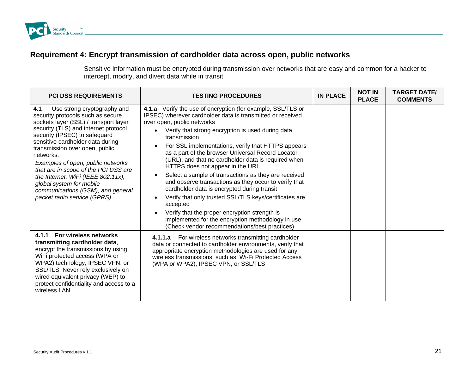

### **Req ansmission of car open, public uirement 4: Encrypt tr dholder data across networks**

Sensitive information must be encrypted during transmission over networks that are easy and common for a hacker to intercept, modify, and divert data while in transit.

| <b>PCI DSS REQUIREMENTS</b>                                                                                                                                                                                                                                                                                                                                                                                                                                                                      | <b>TESTING PROCEDURES</b>                                                                                                                                                                                                                                                                                                                                                                                                                                                                                                                                                                                                                                                                                                                                                                                                                                              | <b>IN PLACE</b> | <b>NOT IN</b><br><b>PLACE</b> | <b>TARGET DATE/</b><br><b>COMMENTS</b> |
|--------------------------------------------------------------------------------------------------------------------------------------------------------------------------------------------------------------------------------------------------------------------------------------------------------------------------------------------------------------------------------------------------------------------------------------------------------------------------------------------------|------------------------------------------------------------------------------------------------------------------------------------------------------------------------------------------------------------------------------------------------------------------------------------------------------------------------------------------------------------------------------------------------------------------------------------------------------------------------------------------------------------------------------------------------------------------------------------------------------------------------------------------------------------------------------------------------------------------------------------------------------------------------------------------------------------------------------------------------------------------------|-----------------|-------------------------------|----------------------------------------|
| 4.1<br>Use strong cryptography and<br>security protocols such as secure<br>sockets layer (SSL) / transport layer<br>security (TLS) and internet protocol<br>security (IPSEC) to safeguard<br>sensitive cardholder data during<br>transmission over open, public<br>networks.<br>Examples of open, public networks<br>that are in scope of the PCI DSS are<br>the Internet, WiFi (IEEE 802.11x),<br>global system for mobile<br>communications (GSM), and general<br>packet radio service (GPRS). | 4.1.a Verify the use of encryption (for example, SSL/TLS or<br>IPSEC) wherever cardholder data is transmitted or received<br>over open, public networks<br>Verify that strong encryption is used during data<br>$\bullet$<br>transmission<br>For SSL implementations, verify that HTTPS appears<br>as a part of the browser Universal Record Locator<br>(URL), and that no cardholder data is required when<br>HTTPS does not appear in the URL<br>Select a sample of transactions as they are received<br>$\bullet$<br>and observe transactions as they occur to verify that<br>cardholder data is encrypted during transit<br>Verify that only trusted SSL/TLS keys/certificates are<br>$\bullet$<br>accepted<br>Verify that the proper encryption strength is<br>implemented for the encryption methodology in use<br>(Check vendor recommendations/best practices) |                 |                               |                                        |
| 4.1.1 For wireless networks<br>transmitting cardholder data,<br>encrypt the transmissions by using<br>WiFi protected access (WPA or<br>WPA2) technology, IPSEC VPN, or<br>SSL/TLS. Never rely exclusively on<br>wired equivalent privacy (WEP) to<br>protect confidentiality and access to a<br>wireless LAN.                                                                                                                                                                                    | 4.1.1.a For wireless networks transmitting cardholder<br>data or connected to cardholder environments, verify that<br>appropriate encryption methodologies are used for any<br>wireless transmissions, such as: Wi-Fi Protected Access<br>(WPA or WPA2), IPSEC VPN, or SSL/TLS                                                                                                                                                                                                                                                                                                                                                                                                                                                                                                                                                                                         |                 |                               |                                        |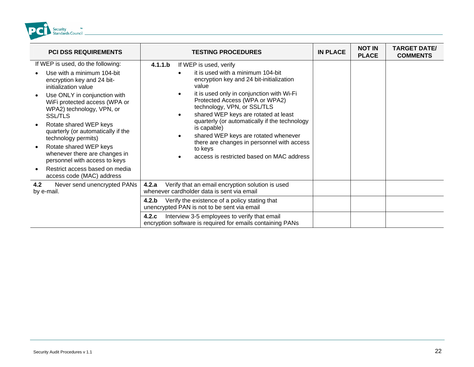<span id="page-21-0"></span>

| <b>PCI DSS REQUIREMENTS</b>                                                                                                                                                                                                                                                                                                                                                                                                                                             | <b>TESTING PROCEDURES</b>                                                                                                                                                                                                                                                                                                                                                                                                                                                                                                              | <b>IN PLACE</b> | <b>NOT IN</b><br><b>PLACE</b> | <b>TARGET DATE/</b><br><b>COMMENTS</b> |
|-------------------------------------------------------------------------------------------------------------------------------------------------------------------------------------------------------------------------------------------------------------------------------------------------------------------------------------------------------------------------------------------------------------------------------------------------------------------------|----------------------------------------------------------------------------------------------------------------------------------------------------------------------------------------------------------------------------------------------------------------------------------------------------------------------------------------------------------------------------------------------------------------------------------------------------------------------------------------------------------------------------------------|-----------------|-------------------------------|----------------------------------------|
| If WEP is used, do the following:<br>Use with a minimum 104-bit<br>encryption key and 24 bit-<br>initialization value<br>Use ONLY in conjunction with<br>WiFi protected access (WPA or<br>WPA2) technology, VPN, or<br><b>SSL/TLS</b><br>Rotate shared WEP keys<br>quarterly (or automatically if the<br>technology permits)<br>Rotate shared WEP keys<br>$\bullet$<br>whenever there are changes in<br>personnel with access to keys<br>Restrict access based on media | 4.1.1.b<br>If WEP is used, verify<br>it is used with a minimum 104-bit<br>encryption key and 24 bit-initialization<br>value<br>it is used only in conjunction with Wi-Fi<br>$\bullet$<br>Protected Access (WPA or WPA2)<br>technology, VPN, or SSL/TLS<br>shared WEP keys are rotated at least<br>$\bullet$<br>quarterly (or automatically if the technology<br>is capable)<br>shared WEP keys are rotated whenever<br>$\bullet$<br>there are changes in personnel with access<br>to keys<br>access is restricted based on MAC address |                 |                               |                                        |
| access code (MAC) address<br>4.2<br>Never send unencrypted PANs<br>by e-mail.                                                                                                                                                                                                                                                                                                                                                                                           | Verify that an email encryption solution is used<br>4.2.a<br>whenever cardholder data is sent via email                                                                                                                                                                                                                                                                                                                                                                                                                                |                 |                               |                                        |
|                                                                                                                                                                                                                                                                                                                                                                                                                                                                         | Verify the existence of a policy stating that<br>4.2.b<br>unencrypted PAN is not to be sent via email                                                                                                                                                                                                                                                                                                                                                                                                                                  |                 |                               |                                        |
|                                                                                                                                                                                                                                                                                                                                                                                                                                                                         | Interview 3-5 employees to verify that email<br>4.2.c<br>encryption software is required for emails containing PANs                                                                                                                                                                                                                                                                                                                                                                                                                    |                 |                               |                                        |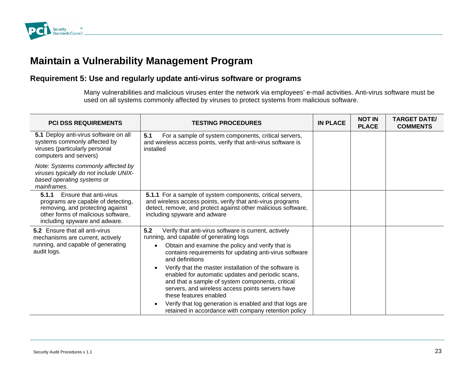

### **Maintain a Vulnerability Management Program**

#### Requirement 5: Use and regularly update anti-virus software or programs

Many vulnerabilities and malicious viruses enter the network via employees' e-mail activities. Anti-virus software must be used on all systems commonly affected by viruses to protect systems from malicious software.

| <b>PCI DSS REQUIREMENTS</b>                                                                                                                                                      | <b>TESTING PROCEDURES</b>                                                                                                                                                                                                                                  | <b>IN PLACE</b> | <b>NOT IN</b><br><b>PLACE</b> | <b>TARGET DATE/</b><br><b>COMMENTS</b> |
|----------------------------------------------------------------------------------------------------------------------------------------------------------------------------------|------------------------------------------------------------------------------------------------------------------------------------------------------------------------------------------------------------------------------------------------------------|-----------------|-------------------------------|----------------------------------------|
| 5.1 Deploy anti-virus software on all<br>systems commonly affected by<br>viruses (particularly personal<br>computers and servers)                                                | 5.1<br>For a sample of system components, critical servers,<br>and wireless access points, verify that anti-virus software is<br>installed                                                                                                                 |                 |                               |                                        |
| Note: Systems commonly affected by<br>viruses typically do not include UNIX-<br>based operating systems or<br>mainframes.                                                        |                                                                                                                                                                                                                                                            |                 |                               |                                        |
| 5.1.1<br>Ensure that anti-virus<br>programs are capable of detecting,<br>removing, and protecting against<br>other forms of malicious software,<br>including spyware and adware. | 5.1.1 For a sample of system components, critical servers,<br>and wireless access points, verify that anti-virus programs<br>detect, remove, and protect against other malicious software,<br>including spyware and adware                                 |                 |                               |                                        |
| <b>5.2</b> Ensure that all anti-virus<br>mechanisms are current, actively                                                                                                        | 5.2<br>Verify that anti-virus software is current, actively<br>running, and capable of generating logs                                                                                                                                                     |                 |                               |                                        |
| running, and capable of generating<br>audit logs.                                                                                                                                | Obtain and examine the policy and verify that is<br>$\bullet$<br>contains requirements for updating anti-virus software<br>and definitions                                                                                                                 |                 |                               |                                        |
|                                                                                                                                                                                  | Verify that the master installation of the software is<br>$\bullet$<br>enabled for automatic updates and periodic scans,<br>and that a sample of system components, critical<br>servers, and wireless access points servers have<br>these features enabled |                 |                               |                                        |
|                                                                                                                                                                                  | Verify that log generation is enabled and that logs are<br>$\bullet$<br>retained in accordance with company retention policy                                                                                                                               |                 |                               |                                        |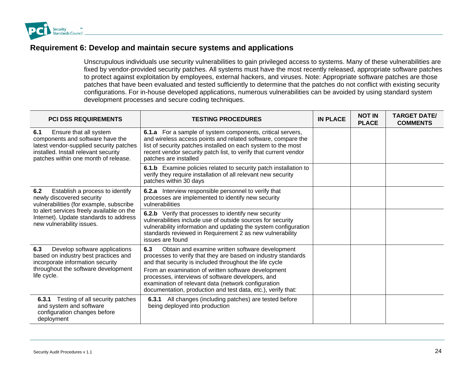<span id="page-23-0"></span>

### **Requirement 6: Develop and maintain secure systems and applications**

Unscrupulous individuals use security vulnerabilities to gain privileged access to systems. Many of these vulnerabilities are fixed by vendor-provided security patches. All systems must have the most recently released, appropriate software patches to protect against exploitation by employees, external hackers, and viruses. Note: Appropriate software patches are those patches that have been evaluated and tested sufficiently to determine that the patches do not conflict with existing security configurations. For in-house developed applications, numerous vulnerabilities can be avoided by using standard system development processes and secure coding techniques.

| <b>PCI DSS REQUIREMENTS</b>                                                                                                                                                                                                        | <b>TESTING PROCEDURES</b>                                                                                                                                                                                                                                                                                                                                                                                             | <b>IN PLACE</b> | <b>NOT IN</b><br><b>PLACE</b> | <b>TARGET DATE/</b><br><b>COMMENTS</b> |
|------------------------------------------------------------------------------------------------------------------------------------------------------------------------------------------------------------------------------------|-----------------------------------------------------------------------------------------------------------------------------------------------------------------------------------------------------------------------------------------------------------------------------------------------------------------------------------------------------------------------------------------------------------------------|-----------------|-------------------------------|----------------------------------------|
| 6.1<br>Ensure that all system<br>components and software have the<br>latest vendor-supplied security patches<br>installed. Install relevant security<br>patches within one month of release.                                       | <b>6.1.a</b> For a sample of system components, critical servers,<br>and wireless access points and related software, compare the<br>list of security patches installed on each system to the most<br>recent vendor security patch list, to verify that current vendor<br>patches are installed                                                                                                                       |                 |                               |                                        |
|                                                                                                                                                                                                                                    | <b>6.1.b</b> Examine policies related to security patch installation to<br>verify they require installation of all relevant new security<br>patches within 30 days                                                                                                                                                                                                                                                    |                 |                               |                                        |
| Establish a process to identify<br>6.2<br>newly discovered security<br>vulnerabilities (for example, subscribe<br>to alert services freely available on the<br>Internet). Update standards to address<br>new vulnerability issues. | 6.2.a Interview responsible personnel to verify that<br>processes are implemented to identify new security<br>vulnerabilities                                                                                                                                                                                                                                                                                         |                 |                               |                                        |
|                                                                                                                                                                                                                                    | 6.2.b Verify that processes to identify new security<br>vulnerabilities include use of outside sources for security<br>vulnerability information and updating the system configuration<br>standards reviewed in Requirement 2 as new vulnerability<br>issues are found                                                                                                                                                |                 |                               |                                        |
| Develop software applications<br>6.3<br>based on industry best practices and<br>incorporate information security<br>throughout the software development<br>life cycle.                                                             | Obtain and examine written software development<br>6.3<br>processes to verify that they are based on industry standards<br>and that security is included throughout the life cycle<br>From an examination of written software development<br>processes, interviews of software developers, and<br>examination of relevant data (network configuration<br>documentation, production and test data, etc.), verify that: |                 |                               |                                        |
| Testing of all security patches<br>6.3.1<br>and system and software<br>configuration changes before<br>deployment                                                                                                                  | All changes (including patches) are tested before<br>6.3.1<br>being deployed into production                                                                                                                                                                                                                                                                                                                          |                 |                               |                                        |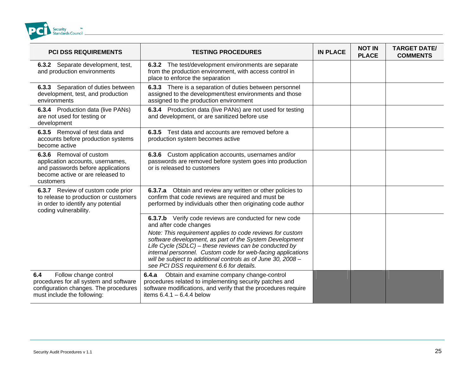<span id="page-24-0"></span>

| <b>PCI DSS REQUIREMENTS</b>                                                                                                                       | <b>TESTING PROCEDURES</b>                                                                                                                                                                                                                                                                                                                                                                                                                    | <b>IN PLACE</b> | <b>NOT IN</b><br><b>PLACE</b> | <b>TARGET DATE/</b><br><b>COMMENTS</b> |
|---------------------------------------------------------------------------------------------------------------------------------------------------|----------------------------------------------------------------------------------------------------------------------------------------------------------------------------------------------------------------------------------------------------------------------------------------------------------------------------------------------------------------------------------------------------------------------------------------------|-----------------|-------------------------------|----------------------------------------|
| 6.3.2 Separate development, test,<br>and production environments                                                                                  | 6.3.2 The test/development environments are separate<br>from the production environment, with access control in<br>place to enforce the separation                                                                                                                                                                                                                                                                                           |                 |                               |                                        |
| 6.3.3 Separation of duties between<br>development, test, and production<br>environments                                                           | 6.3.3 There is a separation of duties between personnel<br>assigned to the development/test environments and those<br>assigned to the production environment                                                                                                                                                                                                                                                                                 |                 |                               |                                        |
| <b>6.3.4</b> Production data (live PANs)<br>are not used for testing or<br>development                                                            | <b>6.3.4</b> Production data (live PANs) are not used for testing<br>and development, or are sanitized before use                                                                                                                                                                                                                                                                                                                            |                 |                               |                                        |
| 6.3.5 Removal of test data and<br>accounts before production systems<br>become active                                                             | 6.3.5 Test data and accounts are removed before a<br>production system becomes active                                                                                                                                                                                                                                                                                                                                                        |                 |                               |                                        |
| 6.3.6 Removal of custom<br>application accounts, usernames,<br>and passwords before applications<br>become active or are released to<br>customers | 6.3.6 Custom application accounts, usernames and/or<br>passwords are removed before system goes into production<br>or is released to customers                                                                                                                                                                                                                                                                                               |                 |                               |                                        |
| 6.3.7 Review of custom code prior<br>to release to production or customers<br>in order to identify any potential<br>coding vulnerability.         | 6.3.7.a Obtain and review any written or other policies to<br>confirm that code reviews are required and must be<br>performed by individuals other then originating code author                                                                                                                                                                                                                                                              |                 |                               |                                        |
|                                                                                                                                                   | 6.3.7.b Verify code reviews are conducted for new code<br>and after code changes<br>Note: This requirement applies to code reviews for custom<br>software development, as part of the System Development<br>Life Cycle (SDLC) – these reviews can be conducted by<br>internal personnel. Custom code for web-facing applications<br>will be subject to additional controls as of June 30, 2008 -<br>see PCI DSS requirement 6.6 for details. |                 |                               |                                        |
| 6.4<br>Follow change control<br>procedures for all system and software<br>configuration changes. The procedures<br>must include the following:    | Obtain and examine company change-control<br>6.4.a<br>procedures related to implementing security patches and<br>software modifications, and verify that the procedures require<br>items $6.4.1 - 6.4.4$ below                                                                                                                                                                                                                               |                 |                               |                                        |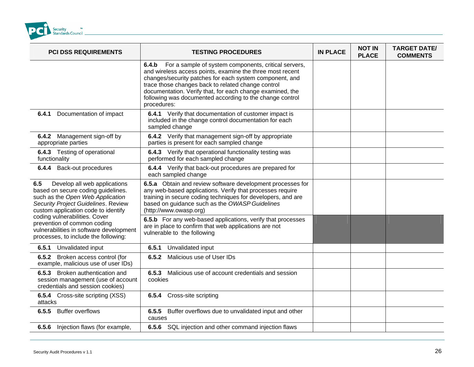

| PCI DSS REQUIREMENTS                                                                                                                                                                                                                                                                                                                           | <b>TESTING PROCEDURES</b>                                                                                                                                                                                                                                                                                                                                                           | <b>IN PLACE</b> | <b>NOT IN</b><br><b>PLACE</b> | <b>TARGET DATE/</b><br><b>COMMENTS</b> |
|------------------------------------------------------------------------------------------------------------------------------------------------------------------------------------------------------------------------------------------------------------------------------------------------------------------------------------------------|-------------------------------------------------------------------------------------------------------------------------------------------------------------------------------------------------------------------------------------------------------------------------------------------------------------------------------------------------------------------------------------|-----------------|-------------------------------|----------------------------------------|
|                                                                                                                                                                                                                                                                                                                                                | 6.4.b<br>For a sample of system components, critical servers,<br>and wireless access points, examine the three most recent<br>changes/security patches for each system component, and<br>trace those changes back to related change control<br>documentation. Verify that, for each change examined, the<br>following was documented according to the change control<br>procedures: |                 |                               |                                        |
| Documentation of impact<br>6.4.1                                                                                                                                                                                                                                                                                                               | 6.4.1 Verify that documentation of customer impact is<br>included in the change control documentation for each<br>sampled change                                                                                                                                                                                                                                                    |                 |                               |                                        |
| 6.4.2 Management sign-off by<br>appropriate parties                                                                                                                                                                                                                                                                                            | 6.4.2 Verify that management sign-off by appropriate<br>parties is present for each sampled change                                                                                                                                                                                                                                                                                  |                 |                               |                                        |
| 6.4.3 Testing of operational<br>functionality                                                                                                                                                                                                                                                                                                  | 6.4.3 Verify that operational functionality testing was<br>performed for each sampled change                                                                                                                                                                                                                                                                                        |                 |                               |                                        |
| 6.4.4 Back-out procedures                                                                                                                                                                                                                                                                                                                      | 6.4.4 Verify that back-out procedures are prepared for<br>each sampled change                                                                                                                                                                                                                                                                                                       |                 |                               |                                        |
| Develop all web applications<br>6.5<br>based on secure coding guidelines.<br>such as the Open Web Application<br>Security Project Guidelines. Review<br>custom application code to identify<br>coding vulnerabilities. Cover<br>prevention of common coding<br>vulnerabilities in software development<br>processes, to include the following: | 6.5.a Obtain and review software development processes for<br>any web-based applications. Verify that processes require<br>training in secure coding techniques for developers, and are<br>based on guidance such as the OWASP Guidelines<br>(http://www.owasp.org)                                                                                                                 |                 |                               |                                        |
|                                                                                                                                                                                                                                                                                                                                                | 6.5.b For any web-based applications, verify that processes<br>are in place to confirm that web applications are not<br>vulnerable to the following                                                                                                                                                                                                                                 |                 |                               |                                        |
| 6.5.1<br>Unvalidated input                                                                                                                                                                                                                                                                                                                     | Unvalidated input<br>6.5.1                                                                                                                                                                                                                                                                                                                                                          |                 |                               |                                        |
| 6.5.2 Broken access control (for<br>example, malicious use of user IDs)                                                                                                                                                                                                                                                                        | Malicious use of User IDs<br>6.5.2                                                                                                                                                                                                                                                                                                                                                  |                 |                               |                                        |
| 6.5.3 Broken authentication and<br>session management (use of account<br>credentials and session cookies)                                                                                                                                                                                                                                      | 6.5.3 Malicious use of account credentials and session<br>cookies                                                                                                                                                                                                                                                                                                                   |                 |                               |                                        |
| <b>6.5.4</b> Cross-site scripting (XSS)<br>attacks                                                                                                                                                                                                                                                                                             | Cross-site scripting<br>6.5.4                                                                                                                                                                                                                                                                                                                                                       |                 |                               |                                        |
| 6.5.5 Buffer overflows                                                                                                                                                                                                                                                                                                                         | 6.5.5 Buffer overflows due to unvalidated input and other<br>causes                                                                                                                                                                                                                                                                                                                 |                 |                               |                                        |
| 6.5.6<br>Injection flaws (for example,                                                                                                                                                                                                                                                                                                         | 6.5.6 SQL injection and other command injection flaws                                                                                                                                                                                                                                                                                                                               |                 |                               |                                        |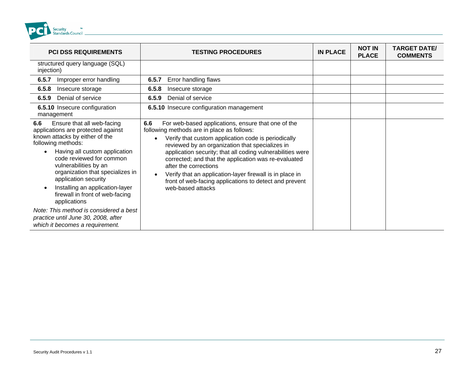

| <b>PCI DSS REQUIREMENTS</b>                                                                                                                                                                                                                                                                                                                                             | <b>TESTING PROCEDURES</b>                                                                                                                                                                                                                                                                                                                                                                                                                                                                                   | <b>IN PLACE</b> | <b>NOT IN</b><br><b>PLACE</b> | <b>TARGET DATE/</b><br><b>COMMENTS</b> |
|-------------------------------------------------------------------------------------------------------------------------------------------------------------------------------------------------------------------------------------------------------------------------------------------------------------------------------------------------------------------------|-------------------------------------------------------------------------------------------------------------------------------------------------------------------------------------------------------------------------------------------------------------------------------------------------------------------------------------------------------------------------------------------------------------------------------------------------------------------------------------------------------------|-----------------|-------------------------------|----------------------------------------|
| structured query language (SQL)<br>injection)                                                                                                                                                                                                                                                                                                                           |                                                                                                                                                                                                                                                                                                                                                                                                                                                                                                             |                 |                               |                                        |
| 6.5.7<br>Improper error handling                                                                                                                                                                                                                                                                                                                                        | Error handling flaws<br>6.5.7                                                                                                                                                                                                                                                                                                                                                                                                                                                                               |                 |                               |                                        |
| 6.5.8<br>Insecure storage                                                                                                                                                                                                                                                                                                                                               | 6.5.8<br>Insecure storage                                                                                                                                                                                                                                                                                                                                                                                                                                                                                   |                 |                               |                                        |
| Denial of service<br>6.5.9                                                                                                                                                                                                                                                                                                                                              | Denial of service<br>6.5.9                                                                                                                                                                                                                                                                                                                                                                                                                                                                                  |                 |                               |                                        |
| 6.5.10 Insecure configuration<br>management                                                                                                                                                                                                                                                                                                                             | 6.5.10 Insecure configuration management                                                                                                                                                                                                                                                                                                                                                                                                                                                                    |                 |                               |                                        |
| Ensure that all web-facing<br>6.6<br>applications are protected against<br>known attacks by either of the<br>following methods:<br>Having all custom application<br>code reviewed for common<br>vulnerabilities by an<br>organization that specializes in<br>application security<br>Installing an application-layer<br>firewall in front of web-facing<br>applications | 6.6<br>For web-based applications, ensure that one of the<br>following methods are in place as follows:<br>Verify that custom application code is periodically<br>reviewed by an organization that specializes in<br>application security; that all coding vulnerabilities were<br>corrected; and that the application was re-evaluated<br>after the corrections<br>Verify that an application-layer firewall is in place in<br>front of web-facing applications to detect and prevent<br>web-based attacks |                 |                               |                                        |
| Note: This method is considered a best<br>practice until June 30, 2008, after<br>which it becomes a requirement.                                                                                                                                                                                                                                                        |                                                                                                                                                                                                                                                                                                                                                                                                                                                                                                             |                 |                               |                                        |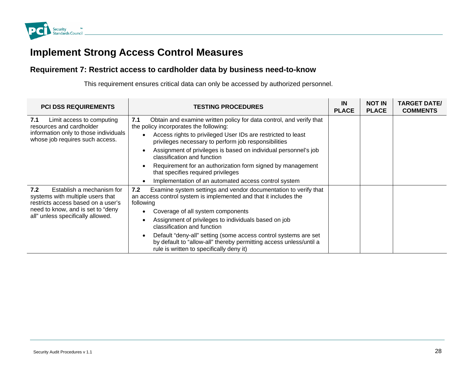

# **Implement Strong Access Control Measures**

### Requirement 7: Restrict access to cardholder data by business need-to-know

This requirement ensures critical data can only be accessed by authorized personnel.

| <b>PCI DSS REQUIREMENTS</b>                                                                                                                                                           | <b>TESTING PROCEDURES</b>                                                                                                                                                                                                                                                           | IN<br><b>PLACE</b> | <b>NOT IN</b><br><b>PLACE</b> | <b>TARGET DATE/</b><br><b>COMMENTS</b> |
|---------------------------------------------------------------------------------------------------------------------------------------------------------------------------------------|-------------------------------------------------------------------------------------------------------------------------------------------------------------------------------------------------------------------------------------------------------------------------------------|--------------------|-------------------------------|----------------------------------------|
| Limit access to computing<br>7.1<br>resources and cardholder                                                                                                                          | 7.1<br>Obtain and examine written policy for data control, and verify that<br>the policy incorporates the following:                                                                                                                                                                |                    |                               |                                        |
| information only to those individuals<br>whose job requires such access.                                                                                                              | Access rights to privileged User IDs are restricted to least<br>privileges necessary to perform job responsibilities                                                                                                                                                                |                    |                               |                                        |
|                                                                                                                                                                                       | Assignment of privileges is based on individual personnel's job<br>classification and function                                                                                                                                                                                      |                    |                               |                                        |
|                                                                                                                                                                                       | Requirement for an authorization form signed by management<br>that specifies required privileges                                                                                                                                                                                    |                    |                               |                                        |
|                                                                                                                                                                                       | Implementation of an automated access control system                                                                                                                                                                                                                                |                    |                               |                                        |
| Establish a mechanism for<br>7.2<br>systems with multiple users that<br>restricts access based on a user's<br>need to know, and is set to "deny"<br>all" unless specifically allowed. | 7.2<br>Examine system settings and vendor documentation to verify that<br>an access control system is implemented and that it includes the<br>following<br>Coverage of all system components<br>Assignment of privileges to individuals based on job<br>classification and function |                    |                               |                                        |
|                                                                                                                                                                                       | Default "deny-all" setting (some access control systems are set<br>by default to "allow-all" thereby permitting access unless/until a<br>rule is written to specifically deny it)                                                                                                   |                    |                               |                                        |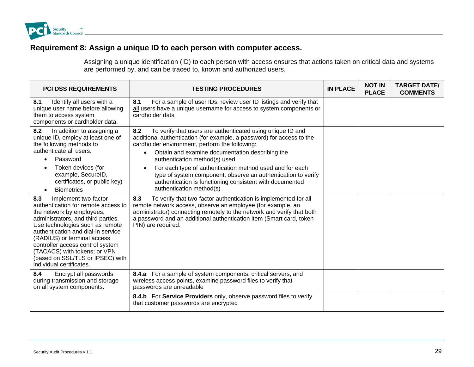<span id="page-28-0"></span>

### **Requirement 8: Assign a unique ID to each person with computer access.**

Assigning a unique identification (ID) to each person with access ensures that actions taken on critical data and systems are performed by, and can be traced to, known and authorized users.

| <b>PCI DSS REQUIREMENTS</b>                                                                                                                                                                                                                                                                                                                                                       | <b>TESTING PROCEDURES</b>                                                                                                                                                                                                                                                                                                                                                                                                                                                                                                       | <b>IN PLACE</b> | <b>NOT IN</b><br><b>PLACE</b> | <b>TARGET DATE/</b><br><b>COMMENTS</b> |
|-----------------------------------------------------------------------------------------------------------------------------------------------------------------------------------------------------------------------------------------------------------------------------------------------------------------------------------------------------------------------------------|---------------------------------------------------------------------------------------------------------------------------------------------------------------------------------------------------------------------------------------------------------------------------------------------------------------------------------------------------------------------------------------------------------------------------------------------------------------------------------------------------------------------------------|-----------------|-------------------------------|----------------------------------------|
| 8.1<br>Identify all users with a<br>unique user name before allowing<br>them to access system<br>components or cardholder data.                                                                                                                                                                                                                                                   | 8.1<br>For a sample of user IDs, review user ID listings and verify that<br>all users have a unique username for access to system components or<br>cardholder data                                                                                                                                                                                                                                                                                                                                                              |                 |                               |                                        |
| 8.2<br>In addition to assigning a<br>unique ID, employ at least one of<br>the following methods to<br>authenticate all users:<br>Password<br>Token devices (for<br>example, SecureID,<br>certificates, or public key)<br><b>Biometrics</b><br>$\bullet$                                                                                                                           | To verify that users are authenticated using unique ID and<br>8.2<br>additional authentication (for example, a password) for access to the<br>cardholder environment, perform the following:<br>Obtain and examine documentation describing the<br>$\bullet$<br>authentication method(s) used<br>For each type of authentication method used and for each<br>$\bullet$<br>type of system component, observe an authentication to verify<br>authentication is functioning consistent with documented<br>authentication method(s) |                 |                               |                                        |
| Implement two-factor<br>8.3<br>authentication for remote access to<br>the network by employees,<br>administrators, and third parties.<br>Use technologies such as remote<br>authentication and dial-in service<br>(RADIUS) or terminal access<br>controller access control system<br>(TACACS) with tokens; or VPN<br>(based on SSL/TLS or IPSEC) with<br>individual certificates. | To verify that two-factor authentication is implemented for all<br>8.3<br>remote network access, observe an employee (for example, an<br>administrator) connecting remotely to the network and verify that both<br>a password and an additional authentication item (Smart card, token<br>PIN) are required.                                                                                                                                                                                                                    |                 |                               |                                        |
| 8.4<br>Encrypt all passwords<br>during transmission and storage<br>on all system components.                                                                                                                                                                                                                                                                                      | 8.4.a For a sample of system components, critical servers, and<br>wireless access points, examine password files to verify that<br>passwords are unreadable                                                                                                                                                                                                                                                                                                                                                                     |                 |                               |                                        |
|                                                                                                                                                                                                                                                                                                                                                                                   | 8.4.b For Service Providers only, observe password files to verify<br>that customer passwords are encrypted                                                                                                                                                                                                                                                                                                                                                                                                                     |                 |                               |                                        |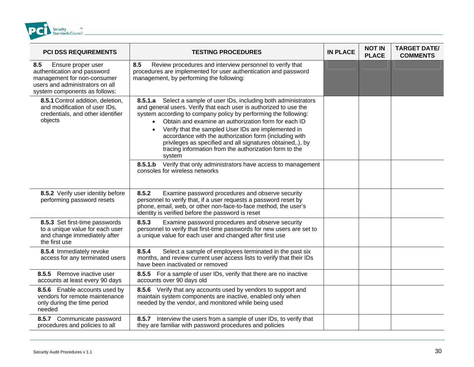<span id="page-29-0"></span>

| <b>PCI DSS REQUIREMENTS</b>                                                                                                                                 | <b>TESTING PROCEDURES</b>                                                                                                                                                                                                                                                                                                                                                                                                                                                                                                                       | <b>IN PLACE</b> | <b>NOT IN</b><br><b>PLACE</b> | <b>TARGET DATE/</b><br><b>COMMENTS</b> |
|-------------------------------------------------------------------------------------------------------------------------------------------------------------|-------------------------------------------------------------------------------------------------------------------------------------------------------------------------------------------------------------------------------------------------------------------------------------------------------------------------------------------------------------------------------------------------------------------------------------------------------------------------------------------------------------------------------------------------|-----------------|-------------------------------|----------------------------------------|
| 8.5<br>Ensure proper user<br>authentication and password<br>management for non-consumer<br>users and administrators on all<br>system components as follows: | 8.5<br>Review procedures and interview personnel to verify that<br>procedures are implemented for user authentication and password<br>management, by performing the following:                                                                                                                                                                                                                                                                                                                                                                  |                 |                               |                                        |
| 8.5.1 Control addition, deletion,<br>and modification of user IDs,<br>credentials, and other identifier<br>objects                                          | 8.5.1.a Select a sample of user IDs, including both administrators<br>and general users. Verify that each user is authorized to use the<br>system according to company policy by performing the following:<br>Obtain and examine an authorization form for each ID<br>$\bullet$<br>Verify that the sampled User IDs are implemented in<br>$\bullet$<br>accordance with the authorization form (including with<br>privileges as specified and all signatures obtained,.), by<br>tracing information from the authorization form to the<br>system |                 |                               |                                        |
|                                                                                                                                                             | 8.5.1.b Verify that only administrators have access to management<br>consoles for wireless networks                                                                                                                                                                                                                                                                                                                                                                                                                                             |                 |                               |                                        |
| 8.5.2 Verify user identity before<br>performing password resets                                                                                             | 8.5.2<br>Examine password procedures and observe security<br>personnel to verify that, if a user requests a password reset by<br>phone, email, web, or other non-face-to-face method, the user's<br>identity is verified before the password is reset                                                                                                                                                                                                                                                                                           |                 |                               |                                        |
| 8.5.3 Set first-time passwords<br>to a unique value for each user<br>and change immediately after<br>the first use                                          | 8.5.3<br>Examine password procedures and observe security<br>personnel to verify that first-time passwords for new users are set to<br>a unique value for each user and changed after first use                                                                                                                                                                                                                                                                                                                                                 |                 |                               |                                        |
| 8.5.4 Immediately revoke<br>access for any terminated users                                                                                                 | 8.5.4<br>Select a sample of employees terminated in the past six<br>months, and review current user access lists to verify that their IDs<br>have been inactivated or removed                                                                                                                                                                                                                                                                                                                                                                   |                 |                               |                                        |
| 8.5.5 Remove inactive user<br>accounts at least every 90 days                                                                                               | 8.5.5 For a sample of user IDs, verify that there are no inactive<br>accounts over 90 days old                                                                                                                                                                                                                                                                                                                                                                                                                                                  |                 |                               |                                        |
| 8.5.6 Enable accounts used by<br>vendors for remote maintenance<br>only during the time period<br>needed                                                    | 8.5.6 Verify that any accounts used by vendors to support and<br>maintain system components are inactive, enabled only when<br>needed by the vendor, and monitored while being used                                                                                                                                                                                                                                                                                                                                                             |                 |                               |                                        |
| 8.5.7 Communicate password<br>procedures and policies to all                                                                                                | 8.5.7 Interview the users from a sample of user IDs, to verify that<br>they are familiar with password procedures and policies                                                                                                                                                                                                                                                                                                                                                                                                                  |                 |                               |                                        |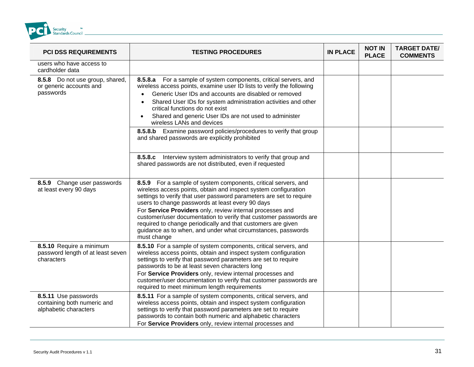

| <b>PCI DSS REQUIREMENTS</b>                                                  | <b>TESTING PROCEDURES</b>                                                                                                                                                                                                                                                                                                                                                                                                                                                                                                                     | <b>IN PLACE</b> | <b>NOT IN</b><br><b>PLACE</b> | <b>TARGET DATE/</b><br><b>COMMENTS</b> |
|------------------------------------------------------------------------------|-----------------------------------------------------------------------------------------------------------------------------------------------------------------------------------------------------------------------------------------------------------------------------------------------------------------------------------------------------------------------------------------------------------------------------------------------------------------------------------------------------------------------------------------------|-----------------|-------------------------------|----------------------------------------|
| users who have access to<br>cardholder data                                  |                                                                                                                                                                                                                                                                                                                                                                                                                                                                                                                                               |                 |                               |                                        |
| 8.5.8 Do not use group, shared,<br>or generic accounts and<br>passwords      | 8.5.8.a For a sample of system components, critical servers, and<br>wireless access points, examine user ID lists to verify the following<br>Generic User IDs and accounts are disabled or removed<br>Shared User IDs for system administration activities and other<br>$\bullet$<br>critical functions do not exist<br>Shared and generic User IDs are not used to administer<br>$\bullet$<br>wireless LANs and devices                                                                                                                      |                 |                               |                                        |
|                                                                              | 8.5.8.b Examine password policies/procedures to verify that group<br>and shared passwords are explicitly prohibited                                                                                                                                                                                                                                                                                                                                                                                                                           |                 |                               |                                        |
|                                                                              | 8.5.8.c Interview system administrators to verify that group and<br>shared passwords are not distributed, even if requested                                                                                                                                                                                                                                                                                                                                                                                                                   |                 |                               |                                        |
| 8.5.9 Change user passwords<br>at least every 90 days                        | 8.5.9 For a sample of system components, critical servers, and<br>wireless access points, obtain and inspect system configuration<br>settings to verify that user password parameters are set to require<br>users to change passwords at least every 90 days<br>For Service Providers only, review internal processes and<br>customer/user documentation to verify that customer passwords are<br>required to change periodically and that customers are given<br>guidance as to when, and under what circumstances, passwords<br>must change |                 |                               |                                        |
| 8.5.10 Require a minimum<br>password length of at least seven<br>characters  | 8.5.10 For a sample of system components, critical servers, and<br>wireless access points, obtain and inspect system configuration<br>settings to verify that password parameters are set to require<br>passwords to be at least seven characters long<br>For Service Providers only, review internal processes and<br>customer/user documentation to verify that customer passwords are<br>required to meet minimum length requirements                                                                                                      |                 |                               |                                        |
| 8.5.11 Use passwords<br>containing both numeric and<br>alphabetic characters | 8.5.11 For a sample of system components, critical servers, and<br>wireless access points, obtain and inspect system configuration<br>settings to verify that password parameters are set to require<br>passwords to contain both numeric and alphabetic characters<br>For Service Providers only, review internal processes and                                                                                                                                                                                                              |                 |                               |                                        |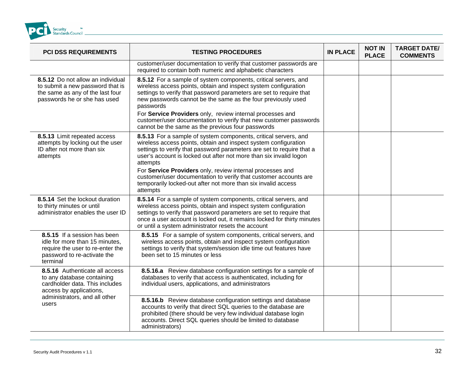

| <b>PCI DSS REQUIREMENTS</b>                                                                                                                   | <b>TESTING PROCEDURES</b>                                                                                                                                                                                                                                                                                                                                                                                                                                                                                   | <b>IN PLACE</b> | <b>NOT IN</b><br><b>PLACE</b> | <b>TARGET DATE/</b><br><b>COMMENTS</b> |
|-----------------------------------------------------------------------------------------------------------------------------------------------|-------------------------------------------------------------------------------------------------------------------------------------------------------------------------------------------------------------------------------------------------------------------------------------------------------------------------------------------------------------------------------------------------------------------------------------------------------------------------------------------------------------|-----------------|-------------------------------|----------------------------------------|
|                                                                                                                                               | customer/user documentation to verify that customer passwords are<br>required to contain both numeric and alphabetic characters                                                                                                                                                                                                                                                                                                                                                                             |                 |                               |                                        |
| 8.5.12 Do not allow an individual<br>to submit a new password that is<br>the same as any of the last four<br>passwords he or she has used     | 8.5.12 For a sample of system components, critical servers, and<br>wireless access points, obtain and inspect system configuration<br>settings to verify that password parameters are set to require that<br>new passwords cannot be the same as the four previously used<br>passwords<br>For Service Providers only, review internal processes and<br>customer/user documentation to verify that new customer passwords<br>cannot be the same as the previous four passwords                               |                 |                               |                                        |
| 8.5.13 Limit repeated access<br>attempts by locking out the user<br>ID after not more than six<br>attempts                                    | 8.5.13 For a sample of system components, critical servers, and<br>wireless access points, obtain and inspect system configuration<br>settings to verify that password parameters are set to require that a<br>user's account is locked out after not more than six invalid logon<br>attempts<br>For Service Providers only, review internal processes and<br>customer/user documentation to verify that customer accounts are<br>temporarily locked-out after not more than six invalid access<br>attempts |                 |                               |                                        |
| 8.5.14 Set the lockout duration<br>to thirty minutes or until<br>administrator enables the user ID                                            | 8.5.14 For a sample of system components, critical servers, and<br>wireless access points, obtain and inspect system configuration<br>settings to verify that password parameters are set to require that<br>once a user account is locked out, it remains locked for thirty minutes<br>or until a system administrator resets the account                                                                                                                                                                  |                 |                               |                                        |
| 8.5.15 If a session has been<br>idle for more than 15 minutes,<br>require the user to re-enter the<br>password to re-activate the<br>terminal | 8.5.15 For a sample of system components, critical servers, and<br>wireless access points, obtain and inspect system configuration<br>settings to verify that system/session idle time out features have<br>been set to 15 minutes or less                                                                                                                                                                                                                                                                  |                 |                               |                                        |
| 8.5.16 Authenticate all access<br>to any database containing<br>cardholder data. This includes<br>access by applications,                     | 8.5.16.a Review database configuration settings for a sample of<br>databases to verify that access is authenticated, including for<br>individual users, applications, and administrators                                                                                                                                                                                                                                                                                                                    |                 |                               |                                        |
| administrators, and all other<br>users                                                                                                        | 8.5.16.b Review database configuration settings and database<br>accounts to verify that direct SQL queries to the database are<br>prohibited (there should be very few individual database login<br>accounts. Direct SQL queries should be limited to database<br>administrators)                                                                                                                                                                                                                           |                 |                               |                                        |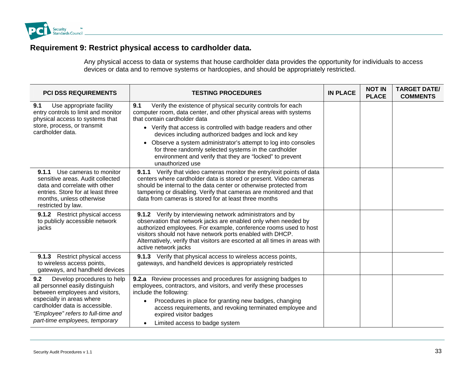

### **Requirement 9: Restrict physical access to cardholder data.**

Any physical access to data or systems that house cardholder data provides the opportunity for individuals to access devices or data and to remove systems or hardcopies, and should be appropriately restricted.

| <b>PCI DSS REQUIREMENTS</b>                                                                                                                                                                                                                     | <b>TESTING PROCEDURES</b>                                                                                                                                                                                                                                                                                                                                               | <b>IN PLACE</b> | <b>NOT IN</b><br><b>PLACE</b> | <b>TARGET DATE/</b><br><b>COMMENTS</b> |
|-------------------------------------------------------------------------------------------------------------------------------------------------------------------------------------------------------------------------------------------------|-------------------------------------------------------------------------------------------------------------------------------------------------------------------------------------------------------------------------------------------------------------------------------------------------------------------------------------------------------------------------|-----------------|-------------------------------|----------------------------------------|
| 9.1<br>Use appropriate facility<br>entry controls to limit and monitor<br>physical access to systems that                                                                                                                                       | Verify the existence of physical security controls for each<br>9.1<br>computer room, data center, and other physical areas with systems<br>that contain cardholder data                                                                                                                                                                                                 |                 |                               |                                        |
| store, process, or transmit<br>cardholder data.                                                                                                                                                                                                 | • Verify that access is controlled with badge readers and other<br>devices including authorized badges and lock and key                                                                                                                                                                                                                                                 |                 |                               |                                        |
|                                                                                                                                                                                                                                                 | Observe a system administrator's attempt to log into consoles<br>$\bullet$<br>for three randomly selected systems in the cardholder<br>environment and verify that they are "locked" to prevent<br>unauthorized use                                                                                                                                                     |                 |                               |                                        |
| <b>9.1.1</b> Use cameras to monitor<br>sensitive areas. Audit collected<br>data and correlate with other<br>entries. Store for at least three<br>months, unless otherwise<br>restricted by law.                                                 | Verify that video cameras monitor the entry/exit points of data<br>9.1.1<br>centers where cardholder data is stored or present. Video cameras<br>should be internal to the data center or otherwise protected from<br>tampering or disabling. Verify that cameras are monitored and that<br>data from cameras is stored for at least three months                       |                 |                               |                                        |
| 9.1.2 Restrict physical access<br>to publicly accessible network<br>jacks                                                                                                                                                                       | 9.1.2 Verify by interviewing network administrators and by<br>observation that network jacks are enabled only when needed by<br>authorized employees. For example, conference rooms used to host<br>visitors should not have network ports enabled with DHCP.<br>Alternatively, verify that visitors are escorted at all times in areas with<br>active network jacks    |                 |                               |                                        |
| 9.1.3 Restrict physical access<br>to wireless access points,<br>gateways, and handheld devices                                                                                                                                                  | 9.1.3 Verify that physical access to wireless access points,<br>gateways, and handheld devices is appropriately restricted                                                                                                                                                                                                                                              |                 |                               |                                        |
| 9.2<br>Develop procedures to help<br>all personnel easily distinguish<br>between employees and visitors,<br>especially in areas where<br>cardholder data is accessible.<br>"Employee" refers to full-time and<br>part-time employees, temporary | 9.2.a Review processes and procedures for assigning badges to<br>employees, contractors, and visitors, and verify these processes<br>include the following:<br>Procedures in place for granting new badges, changing<br>$\bullet$<br>access requirements, and revoking terminated employee and<br>expired visitor badges<br>Limited access to badge system<br>$\bullet$ |                 |                               |                                        |
|                                                                                                                                                                                                                                                 |                                                                                                                                                                                                                                                                                                                                                                         |                 |                               |                                        |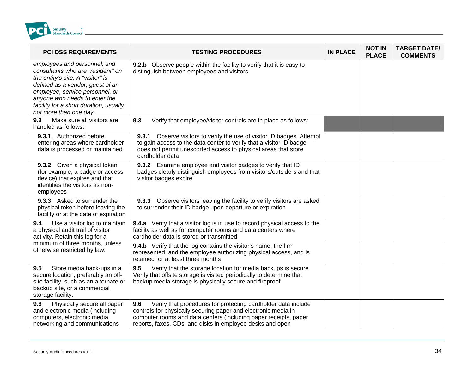<span id="page-33-0"></span>

| <b>PCI DSS REQUIREMENTS</b>                                                                                                                                                                                                                                                        | <b>TESTING PROCEDURES</b>                                                                                                                                                                                                                                               | <b>IN PLACE</b> | <b>NOT IN</b><br><b>PLACE</b> | <b>TARGET DATE/</b><br><b>COMMENTS</b> |
|------------------------------------------------------------------------------------------------------------------------------------------------------------------------------------------------------------------------------------------------------------------------------------|-------------------------------------------------------------------------------------------------------------------------------------------------------------------------------------------------------------------------------------------------------------------------|-----------------|-------------------------------|----------------------------------------|
| employees and personnel, and<br>consultants who are "resident" on<br>the entity's site. A "visitor" is<br>defined as a vendor, guest of an<br>employee, service personnel, or<br>anyone who needs to enter the<br>facility for a short duration, usually<br>not more than one day. | 9.2.b Observe people within the facility to verify that it is easy to<br>distinguish between employees and visitors                                                                                                                                                     |                 |                               |                                        |
| Make sure all visitors are<br>9.3<br>handled as follows:                                                                                                                                                                                                                           | 9.3<br>Verify that employee/visitor controls are in place as follows:                                                                                                                                                                                                   |                 |                               |                                        |
| 9.3.1 Authorized before<br>entering areas where cardholder<br>data is processed or maintained                                                                                                                                                                                      | 9.3.1 Observe visitors to verify the use of visitor ID badges. Attempt<br>to gain access to the data center to verify that a visitor ID badge<br>does not permit unescorted access to physical areas that store<br>cardholder data                                      |                 |                               |                                        |
| 9.3.2 Given a physical token<br>(for example, a badge or access<br>device) that expires and that<br>identifies the visitors as non-<br>employees                                                                                                                                   | 9.3.2 Examine employee and visitor badges to verify that ID<br>badges clearly distinguish employees from visitors/outsiders and that<br>visitor badges expire                                                                                                           |                 |                               |                                        |
| 9.3.3 Asked to surrender the<br>physical token before leaving the<br>facility or at the date of expiration                                                                                                                                                                         | 9.3.3 Observe visitors leaving the facility to verify visitors are asked<br>to surrender their ID badge upon departure or expiration                                                                                                                                    |                 |                               |                                        |
| 9.4<br>Use a visitor log to maintain<br>a physical audit trail of visitor<br>activity. Retain this log for a                                                                                                                                                                       | 9.4.a Verify that a visitor log is in use to record physical access to the<br>facility as well as for computer rooms and data centers where<br>cardholder data is stored or transmitted                                                                                 |                 |                               |                                        |
| minimum of three months, unless<br>otherwise restricted by law.                                                                                                                                                                                                                    | <b>9.4.b</b> Verify that the log contains the visitor's name, the firm<br>represented, and the employee authorizing physical access, and is<br>retained for at least three months                                                                                       |                 |                               |                                        |
| Store media back-ups in a<br>9.5<br>secure location, preferably an off-<br>site facility, such as an alternate or<br>backup site, or a commercial<br>storage facility.                                                                                                             | 9.5<br>Verify that the storage location for media backups is secure.<br>Verify that offsite storage is visited periodically to determine that<br>backup media storage is physically secure and fireproof                                                                |                 |                               |                                        |
| 9.6<br>Physically secure all paper<br>and electronic media (including<br>computers, electronic media,<br>networking and communications                                                                                                                                             | 9.6<br>Verify that procedures for protecting cardholder data include<br>controls for physically securing paper and electronic media in<br>computer rooms and data centers (including paper receipts, paper<br>reports, faxes, CDs, and disks in employee desks and open |                 |                               |                                        |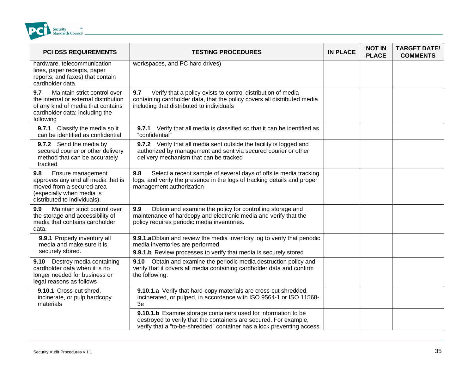

| <b>PCI DSS REQUIREMENTS</b>                                                                                                                                       | <b>TESTING PROCEDURES</b>                                                                                                                                                                                    | <b>IN PLACE</b> | <b>NOT IN</b><br><b>PLACE</b> | <b>TARGET DATE/</b><br><b>COMMENTS</b> |
|-------------------------------------------------------------------------------------------------------------------------------------------------------------------|--------------------------------------------------------------------------------------------------------------------------------------------------------------------------------------------------------------|-----------------|-------------------------------|----------------------------------------|
| hardware, telecommunication<br>lines, paper receipts, paper<br>reports, and faxes) that contain<br>cardholder data                                                | workspaces, and PC hard drives)                                                                                                                                                                              |                 |                               |                                        |
| Maintain strict control over<br>9.7<br>the internal or external distribution<br>of any kind of media that contains<br>cardholder data: including the<br>following | 9.7<br>Verify that a policy exists to control distribution of media<br>containing cardholder data, that the policy covers all distributed media<br>including that distributed to individuals                 |                 |                               |                                        |
| Classify the media so it<br>9.7.1<br>can be identified as confidential                                                                                            | 9.7.1 Verify that all media is classified so that it can be identified as<br>"confidential"                                                                                                                  |                 |                               |                                        |
| 9.7.2 Send the media by<br>secured courier or other delivery<br>method that can be accurately<br>tracked                                                          | 9.7.2 Verify that all media sent outside the facility is logged and<br>authorized by management and sent via secured courier or other<br>delivery mechanism that can be tracked                              |                 |                               |                                        |
| 9.8<br>Ensure management<br>approves any and all media that is<br>moved from a secured area<br>(especially when media is<br>distributed to individuals).          | 9.8<br>Select a recent sample of several days of offsite media tracking<br>logs, and verify the presence in the logs of tracking details and proper<br>management authorization                              |                 |                               |                                        |
| 9.9<br>Maintain strict control over<br>the storage and accessibility of<br>media that contains cardholder<br>data.                                                | Obtain and examine the policy for controlling storage and<br>9.9<br>maintenance of hardcopy and electronic media and verify that the<br>policy requires periodic media inventories.                          |                 |                               |                                        |
| 9.9.1 Properly inventory all<br>media and make sure it is<br>securely stored.                                                                                     | 9.9.1.a Obtain and review the media inventory log to verify that periodic<br>media inventories are performed<br>9.9.1.b Review processes to verify that media is securely stored                             |                 |                               |                                        |
| 9.10 Destroy media containing<br>cardholder data when it is no<br>longer needed for business or<br>legal reasons as follows                                       | Obtain and examine the periodic media destruction policy and<br>9.10<br>verify that it covers all media containing cardholder data and confirm<br>the following:                                             |                 |                               |                                        |
| 9.10.1 Cross-cut shred,<br>incinerate, or pulp hardcopy<br>materials                                                                                              | 9.10.1.a Verify that hard-copy materials are cross-cut shredded,<br>incinerated, or pulped, in accordance with ISO 9564-1 or ISO 11568-<br>3e                                                                |                 |                               |                                        |
|                                                                                                                                                                   | 9.10.1.b Examine storage containers used for information to be<br>destroyed to verify that the containers are secured. For example,<br>verify that a "to-be-shredded" container has a lock preventing access |                 |                               |                                        |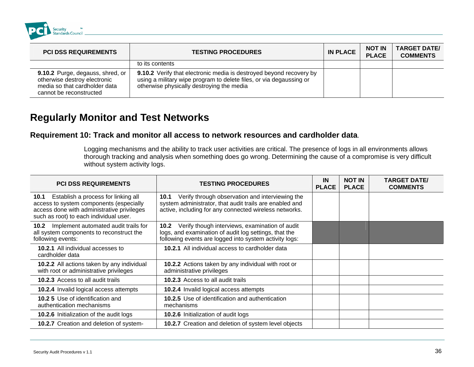

| <b>PCI DSS REQUIREMENTS</b>                                                                                                  | <b>TESTING PROCEDURES</b>                                                                                                                                                                      | <b>IN PLACE</b> | <b>NOT IN</b><br><b>PLACE</b> | <b>TARGET DATE/</b><br><b>COMMENTS</b> |
|------------------------------------------------------------------------------------------------------------------------------|------------------------------------------------------------------------------------------------------------------------------------------------------------------------------------------------|-----------------|-------------------------------|----------------------------------------|
|                                                                                                                              | to its contents                                                                                                                                                                                |                 |                               |                                        |
| 9.10.2 Purge, degauss, shred, or<br>otherwise destroy electronic<br>media so that cardholder data<br>cannot be reconstructed | <b>9.10.2</b> Verify that electronic media is destroyed beyond recovery by<br>using a military wipe program to delete files, or via degaussing or<br>otherwise physically destroying the media |                 |                               |                                        |

### **Regularly Monitor and Test Networks**

#### **R d m a**. **equirement 10: Track an onitor all access to network resources and cardholder dat**

Logging mechanisms and the ability to track user activities are critical. The presence of logs in all environments allows thorough tracking and analysis when something does go wrong. Determining the cause of a compromise is very difficult without system activity l ogs.

| <b>PCI DSS REQUIREMENTS</b>                                                                                                                                                 | <b>TESTING PROCEDURES</b>                                                                                                                                                              | IN<br><b>PLACE</b> | <b>NOT IN</b><br><b>PLACE</b> | <b>TARGET DATE/</b><br><b>COMMENTS</b> |
|-----------------------------------------------------------------------------------------------------------------------------------------------------------------------------|----------------------------------------------------------------------------------------------------------------------------------------------------------------------------------------|--------------------|-------------------------------|----------------------------------------|
| 10.1 Establish a process for linking all<br>access to system components (especially<br>access done with administrative privileges<br>such as root) to each individual user. | Verify through observation and interviewing the<br>10.1<br>system administrator, that audit trails are enabled and<br>active, including for any connected wireless networks.           |                    |                               |                                        |
| Implement automated audit trails for<br>10.2<br>all system components to reconstruct the<br>following events:                                                               | Verify though interviews, examination of audit<br>10.2 <sub>1</sub><br>logs, and examination of audit log settings, that the<br>following events are logged into system activity logs: |                    |                               |                                        |
| <b>10.2.1</b> All individual accesses to<br>cardholder data                                                                                                                 | 10.2.1 All individual access to cardholder data                                                                                                                                        |                    |                               |                                        |
| <b>10.2.2</b> All actions taken by any individual<br>with root or administrative privileges                                                                                 | 10.2.2 Actions taken by any individual with root or<br>administrative privileges                                                                                                       |                    |                               |                                        |
| <b>10.2.3</b> Access to all audit trails                                                                                                                                    | 10.2.3 Access to all audit trails                                                                                                                                                      |                    |                               |                                        |
| <b>10.2.4</b> Invalid logical access attempts                                                                                                                               | 10.2.4 Invalid logical access attempts                                                                                                                                                 |                    |                               |                                        |
| <b>10.2 5</b> Use of identification and<br>authentication mechanisms                                                                                                        | 10.2.5 Use of identification and authentication<br>mechanisms                                                                                                                          |                    |                               |                                        |
| 10.2.6 Initialization of the audit logs                                                                                                                                     | 10.2.6 Initialization of audit logs                                                                                                                                                    |                    |                               |                                        |
| 10.2.7 Creation and deletion of system-                                                                                                                                     | 10.2.7 Creation and deletion of system level objects                                                                                                                                   |                    |                               |                                        |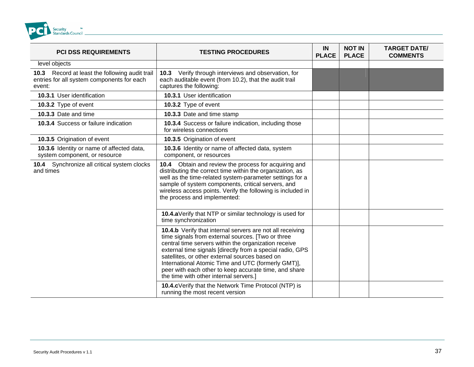<span id="page-36-0"></span>

| <b>PCI DSS REQUIREMENTS</b>                                                                            | <b>TESTING PROCEDURES</b>                                                                                                                                                                                                                                                                                                                                                                                                                      | IN<br><b>PLACE</b> | <b>NOT IN</b><br><b>PLACE</b> | <b>TARGET DATE/</b><br><b>COMMENTS</b> |
|--------------------------------------------------------------------------------------------------------|------------------------------------------------------------------------------------------------------------------------------------------------------------------------------------------------------------------------------------------------------------------------------------------------------------------------------------------------------------------------------------------------------------------------------------------------|--------------------|-------------------------------|----------------------------------------|
| level objects                                                                                          |                                                                                                                                                                                                                                                                                                                                                                                                                                                |                    |                               |                                        |
| 10.3 Record at least the following audit trail<br>entries for all system components for each<br>event: | 10.3 Verify through interviews and observation, for<br>each auditable event (from 10.2), that the audit trail<br>captures the following:                                                                                                                                                                                                                                                                                                       |                    |                               |                                        |
| 10.3.1 User identification                                                                             | 10.3.1 User identification                                                                                                                                                                                                                                                                                                                                                                                                                     |                    |                               |                                        |
| 10.3.2 Type of event                                                                                   | 10.3.2 Type of event                                                                                                                                                                                                                                                                                                                                                                                                                           |                    |                               |                                        |
| 10.3.3 Date and time                                                                                   | 10.3.3 Date and time stamp                                                                                                                                                                                                                                                                                                                                                                                                                     |                    |                               |                                        |
| 10.3.4 Success or failure indication                                                                   | 10.3.4 Success or failure indication, including those<br>for wireless connections                                                                                                                                                                                                                                                                                                                                                              |                    |                               |                                        |
| 10.3.5 Origination of event                                                                            | 10.3.5 Origination of event                                                                                                                                                                                                                                                                                                                                                                                                                    |                    |                               |                                        |
| 10.3.6 Identity or name of affected data,<br>system component, or resource                             | 10.3.6 Identity or name of affected data, system<br>component, or resources                                                                                                                                                                                                                                                                                                                                                                    |                    |                               |                                        |
| 10.4 Synchronize all critical system clocks<br>and times                                               | 10.4 Obtain and review the process for acquiring and<br>distributing the correct time within the organization, as<br>well as the time-related system-parameter settings for a<br>sample of system components, critical servers, and<br>wireless access points. Verify the following is included in<br>the process and implemented:                                                                                                             |                    |                               |                                        |
|                                                                                                        | 10.4.aVerify that NTP or similar technology is used for<br>time synchronization                                                                                                                                                                                                                                                                                                                                                                |                    |                               |                                        |
|                                                                                                        | 10.4.b Verify that internal servers are not all receiving<br>time signals from external sources. [Two or three<br>central time servers within the organization receive<br>external time signals [directly from a special radio, GPS<br>satellites, or other external sources based on<br>International Atomic Time and UTC (formerly GMT)],<br>peer with each other to keep accurate time, and share<br>the time with other internal servers.] |                    |                               |                                        |
|                                                                                                        | 10.4.cVerify that the Network Time Protocol (NTP) is<br>running the most recent version                                                                                                                                                                                                                                                                                                                                                        |                    |                               |                                        |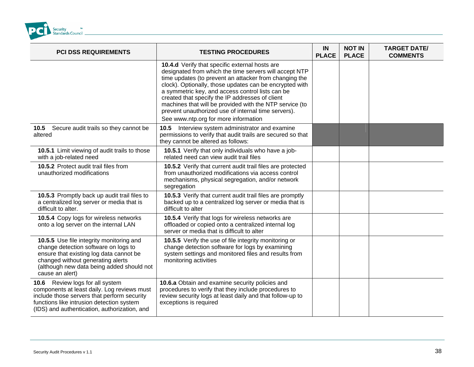

| <b>PCI DSS REQUIREMENTS</b>                                                                                                                                                                                                      | <b>TESTING PROCEDURES</b>                                                                                                                                                                                                                                                                                                                                                                                                                                                                      | <b>IN</b><br><b>PLACE</b> | <b>NOT IN</b><br><b>PLACE</b> | <b>TARGET DATE/</b><br><b>COMMENTS</b> |
|----------------------------------------------------------------------------------------------------------------------------------------------------------------------------------------------------------------------------------|------------------------------------------------------------------------------------------------------------------------------------------------------------------------------------------------------------------------------------------------------------------------------------------------------------------------------------------------------------------------------------------------------------------------------------------------------------------------------------------------|---------------------------|-------------------------------|----------------------------------------|
|                                                                                                                                                                                                                                  | 10.4.d Verify that specific external hosts are<br>designated from which the time servers will accept NTP<br>time updates (to prevent an attacker from changing the<br>clock). Optionally, those updates can be encrypted with<br>a symmetric key, and access control lists can be<br>created that specify the IP addresses of client<br>machines that will be provided with the NTP service (to<br>prevent unauthorized use of internal time servers).<br>See www.ntp.org for more information |                           |                               |                                        |
| 10.5 Secure audit trails so they cannot be<br>altered                                                                                                                                                                            | Interview system administrator and examine<br>10.5<br>permissions to verify that audit trails are secured so that<br>they cannot be altered as follows:                                                                                                                                                                                                                                                                                                                                        |                           |                               |                                        |
| 10.5.1 Limit viewing of audit trails to those<br>with a job-related need                                                                                                                                                         | 10.5.1 Verify that only individuals who have a job-<br>related need can view audit trail files                                                                                                                                                                                                                                                                                                                                                                                                 |                           |                               |                                        |
| 10.5.2 Protect audit trail files from<br>unauthorized modifications                                                                                                                                                              | 10.5.2 Verify that current audit trail files are protected<br>from unauthorized modifications via access control<br>mechanisms, physical segregation, and/or network<br>segregation                                                                                                                                                                                                                                                                                                            |                           |                               |                                        |
| 10.5.3 Promptly back up audit trail files to<br>a centralized log server or media that is<br>difficult to alter.                                                                                                                 | 10.5.3 Verify that current audit trail files are promptly<br>backed up to a centralized log server or media that is<br>difficult to alter                                                                                                                                                                                                                                                                                                                                                      |                           |                               |                                        |
| 10.5.4 Copy logs for wireless networks<br>onto a log server on the internal LAN                                                                                                                                                  | 10.5.4 Verify that logs for wireless networks are<br>offloaded or copied onto a centralized internal log<br>server or media that is difficult to alter                                                                                                                                                                                                                                                                                                                                         |                           |                               |                                        |
| 10.5.5 Use file integrity monitoring and<br>change detection software on logs to<br>ensure that existing log data cannot be<br>changed without generating alerts<br>(although new data being added should not<br>cause an alert) | 10.5.5 Verify the use of file integrity monitoring or<br>change detection software for logs by examining<br>system settings and monitored files and results from<br>monitoring activities                                                                                                                                                                                                                                                                                                      |                           |                               |                                        |
| 10.6 Review logs for all system<br>components at least daily. Log reviews must<br>include those servers that perform security<br>functions like intrusion detection system<br>(IDS) and authentication, authorization, and       | 10.6.a Obtain and examine security policies and<br>procedures to verify that they include procedures to<br>review security logs at least daily and that follow-up to<br>exceptions is required                                                                                                                                                                                                                                                                                                 |                           |                               |                                        |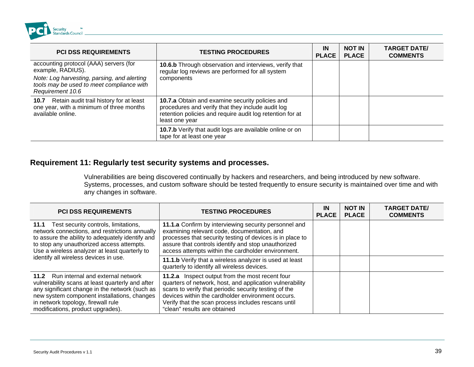

| <b>PCI DSS REQUIREMENTS</b>                                                                                                                             | <b>TESTING PROCEDURES</b>                                                                                                                                                                  | IN<br><b>PLACE</b> I | <b>NOT IN</b><br><b>PLACE</b> | <b>TARGET DATE/</b><br><b>COMMENTS</b> |
|---------------------------------------------------------------------------------------------------------------------------------------------------------|--------------------------------------------------------------------------------------------------------------------------------------------------------------------------------------------|----------------------|-------------------------------|----------------------------------------|
| accounting protocol (AAA) servers (for<br>example, RADIUS).<br>Note: Log harvesting, parsing, and alerting<br>tools may be used to meet compliance with | 10.6.b Through observation and interviews, verify that<br>regular log reviews are performed for all system<br>components                                                                   |                      |                               |                                        |
| Requirement 10.6                                                                                                                                        |                                                                                                                                                                                            |                      |                               |                                        |
| Retain audit trail history for at least<br>10.7<br>one year, with a minimum of three months<br>available online.                                        | <b>10.7.a</b> Obtain and examine security policies and<br>procedures and verify that they include audit log<br>retention policies and require audit log retention for at<br>least one year |                      |                               |                                        |
|                                                                                                                                                         | 10.7.b Verify that audit logs are available online or on<br>tape for at least one year                                                                                                     |                      |                               |                                        |

#### **R gularly test secu equirement 11: Re rity systems and processes.**

Vulnerabilities are being discovered continually by hackers and researchers, and being introduced by new software. Systems, processes, and custom software should be tested frequently to ensure security is maintained over time and with any changes in software.

| <b>PCI DSS REQUIREMENTS</b>                                                                                                                                                                                                                                            | <b>TESTING PROCEDURES</b>                                                                                                                                                                                                                                                                                        | IN<br><b>PLACE</b> | <b>NOT IN</b><br><b>PLACE</b> | <b>TARGET DATE/</b><br><b>COMMENTS</b> |
|------------------------------------------------------------------------------------------------------------------------------------------------------------------------------------------------------------------------------------------------------------------------|------------------------------------------------------------------------------------------------------------------------------------------------------------------------------------------------------------------------------------------------------------------------------------------------------------------|--------------------|-------------------------------|----------------------------------------|
| 11.1 Test security controls, limitations,<br>network connections, and restrictions annually<br>to assure the ability to adequately identify and<br>to stop any unauthorized access attempts.<br>Use a wireless analyzer at least quarterly to                          | 11.1.a Confirm by interviewing security personnel and<br>examining relevant code, documentation, and<br>processes that security testing of devices is in place to<br>assure that controls identify and stop unauthorized<br>access attempts within the cardholder environment.                                   |                    |                               |                                        |
| identify all wireless devices in use.                                                                                                                                                                                                                                  | 11.1.b Verify that a wireless analyzer is used at least<br>quarterly to identify all wireless devices.                                                                                                                                                                                                           |                    |                               |                                        |
| 11.2 Run internal and external network<br>vulnerability scans at least quarterly and after<br>any significant change in the network (such as<br>new system component installations, changes<br>in network topology, firewall rule<br>modifications, product upgrades). | 11.2.a Inspect output from the most recent four<br>quarters of network, host, and application vulnerability<br>scans to verify that periodic security testing of the<br>devices within the cardholder environment occurs.<br>Verify that the scan process includes rescans until<br>"clean" results are obtained |                    |                               |                                        |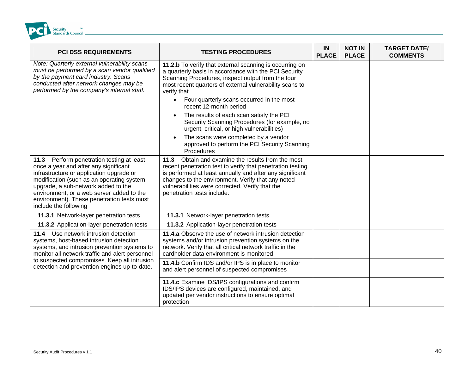<span id="page-39-0"></span>

| <b>PCI DSS REQUIREMENTS</b>                                                                                                                                                                                                                                                                                                            | <b>TESTING PROCEDURES</b>                                                                                                                                                                                                                                                                                            | IN<br><b>PLACE</b> | <b>NOT IN</b><br><b>PLACE</b> | <b>TARGET DATE/</b><br><b>COMMENTS</b> |
|----------------------------------------------------------------------------------------------------------------------------------------------------------------------------------------------------------------------------------------------------------------------------------------------------------------------------------------|----------------------------------------------------------------------------------------------------------------------------------------------------------------------------------------------------------------------------------------------------------------------------------------------------------------------|--------------------|-------------------------------|----------------------------------------|
| Note: Quarterly external vulnerability scans<br>must be performed by a scan vendor qualified<br>by the payment card industry. Scans<br>conducted after network changes may be<br>performed by the company's internal staff.                                                                                                            | 11.2.b To verify that external scanning is occurring on<br>a quarterly basis in accordance with the PCI Security<br>Scanning Procedures, inspect output from the four<br>most recent quarters of external vulnerability scans to<br>verify that                                                                      |                    |                               |                                        |
|                                                                                                                                                                                                                                                                                                                                        | Four quarterly scans occurred in the most<br>recent 12-month period                                                                                                                                                                                                                                                  |                    |                               |                                        |
|                                                                                                                                                                                                                                                                                                                                        | The results of each scan satisfy the PCI<br>Security Scanning Procedures (for example, no<br>urgent, critical, or high vulnerabilities)                                                                                                                                                                              |                    |                               |                                        |
|                                                                                                                                                                                                                                                                                                                                        | The scans were completed by a vendor<br>approved to perform the PCI Security Scanning<br>Procedures                                                                                                                                                                                                                  |                    |                               |                                        |
| 11.3 Perform penetration testing at least<br>once a year and after any significant<br>infrastructure or application upgrade or<br>modification (such as an operating system<br>upgrade, a sub-network added to the<br>environment, or a web server added to the<br>environment). These penetration tests must<br>include the following | Obtain and examine the results from the most<br>11.3<br>recent penetration test to verify that penetration testing<br>is performed at least annually and after any significant<br>changes to the environment. Verify that any noted<br>vulnerabilities were corrected. Verify that the<br>penetration tests include: |                    |                               |                                        |
| 11.3.1 Network-layer penetration tests                                                                                                                                                                                                                                                                                                 | 11.3.1 Network-layer penetration tests                                                                                                                                                                                                                                                                               |                    |                               |                                        |
| 11.3.2 Application-layer penetration tests                                                                                                                                                                                                                                                                                             | 11.3.2 Application-layer penetration tests                                                                                                                                                                                                                                                                           |                    |                               |                                        |
| 11.4 Use network intrusion detection<br>systems, host-based intrusion detection<br>systems, and intrusion prevention systems to<br>monitor all network traffic and alert personnel                                                                                                                                                     | 11.4.a Observe the use of network intrusion detection<br>systems and/or intrusion prevention systems on the<br>network. Verify that all critical network traffic in the<br>cardholder data environment is monitored                                                                                                  |                    |                               |                                        |
| to suspected compromises. Keep all intrusion<br>detection and prevention engines up-to-date.                                                                                                                                                                                                                                           | 11.4.b Confirm IDS and/or IPS is in place to monitor<br>and alert personnel of suspected compromises                                                                                                                                                                                                                 |                    |                               |                                        |
|                                                                                                                                                                                                                                                                                                                                        | 11.4.c Examine IDS/IPS configurations and confirm<br>IDS/IPS devices are configured, maintained, and<br>updated per vendor instructions to ensure optimal<br>protection                                                                                                                                              |                    |                               |                                        |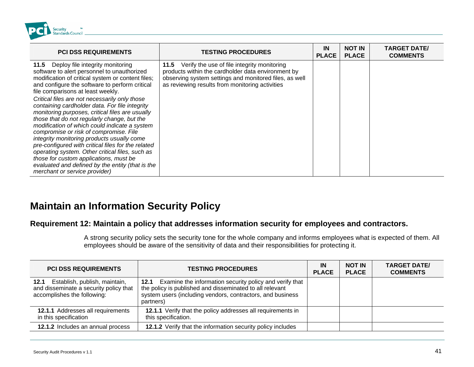

| <b>PCI DSS REQUIREMENTS</b>                                                                                                                                                                                                                                                                                                                                                                                                                                                                                                                                                                                                                                                                                                                                                                                            | <b>TESTING PROCEDURES</b>                                                                                                                                                                                           | IN<br><b>PLACE</b> | <b>NOT IN</b><br><b>PLACE</b> | <b>TARGET DATE/</b><br><b>COMMENTS</b> |
|------------------------------------------------------------------------------------------------------------------------------------------------------------------------------------------------------------------------------------------------------------------------------------------------------------------------------------------------------------------------------------------------------------------------------------------------------------------------------------------------------------------------------------------------------------------------------------------------------------------------------------------------------------------------------------------------------------------------------------------------------------------------------------------------------------------------|---------------------------------------------------------------------------------------------------------------------------------------------------------------------------------------------------------------------|--------------------|-------------------------------|----------------------------------------|
| 11.5 Deploy file integrity monitoring<br>software to alert personnel to unauthorized<br>modification of critical system or content files;<br>and configure the software to perform critical<br>file comparisons at least weekly.<br>Critical files are not necessarily only those<br>containing cardholder data. For file integrity<br>monitoring purposes, critical files are usually<br>those that do not regularly change, but the<br>modification of which could indicate a system<br>compromise or risk of compromise. File<br>integrity monitoring products usually come<br>pre-configured with critical files for the related<br>operating system. Other critical files, such as<br>those for custom applications, must be<br>evaluated and defined by the entity (that is the<br>merchant or service provider) | 11.5 Verify the use of file integrity monitoring<br>products within the cardholder data environment by<br>observing system settings and monitored files, as well<br>as reviewing results from monitoring activities |                    |                               |                                        |

# **ecurity Policy Maintain an Information S**

#### Requirement 12: Maintain a policy that addresses information security for employees and contractors.

A strong security policy sets the security tone for the whole company and informs employees what is expected of them. All employees should be aware of the sensitivity of data and their responsibilities for protecting it.

| <b>PCI DSS REQUIREMENTS</b>                                                                                 | <b>TESTING PROCEDURES</b>                                                                                                                                                                           | IN<br><b>PLACE</b> | <b>NOT IN</b><br><b>PLACE</b> | <b>TARGET DATE/</b><br><b>COMMENTS</b> |
|-------------------------------------------------------------------------------------------------------------|-----------------------------------------------------------------------------------------------------------------------------------------------------------------------------------------------------|--------------------|-------------------------------|----------------------------------------|
| 12.1 Establish, publish, maintain,<br>and disseminate a security policy that<br>accomplishes the following: | 12.1 Examine the information security policy and verify that<br>the policy is published and disseminated to all relevant<br>system users (including vendors, contractors, and business<br>partners) |                    |                               |                                        |
| 12.1.1 Addresses all requirements<br>in this specification                                                  | 12.1.1 Verify that the policy addresses all requirements in<br>this specification.                                                                                                                  |                    |                               |                                        |
| 12.1.2 Includes an annual process                                                                           | 12.1.2 Verify that the information security policy includes                                                                                                                                         |                    |                               |                                        |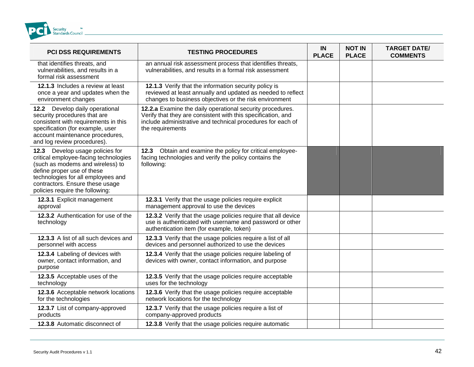<span id="page-41-0"></span>

| <b>PCI DSS REQUIREMENTS</b>                                                                                                                                                                                                                            | <b>TESTING PROCEDURES</b>                                                                                                                                                                                    | IN<br><b>PLACE</b> | <b>NOT IN</b><br><b>PLACE</b> | <b>TARGET DATE/</b><br><b>COMMENTS</b> |
|--------------------------------------------------------------------------------------------------------------------------------------------------------------------------------------------------------------------------------------------------------|--------------------------------------------------------------------------------------------------------------------------------------------------------------------------------------------------------------|--------------------|-------------------------------|----------------------------------------|
| that identifies threats, and<br>vulnerabilities, and results in a<br>formal risk assessment                                                                                                                                                            | an annual risk assessment process that identifies threats,<br>vulnerabilities, and results in a formal risk assessment                                                                                       |                    |                               |                                        |
| 12.1.3 Includes a review at least<br>once a year and updates when the<br>environment changes                                                                                                                                                           | 12.1.3 Verify that the information security policy is<br>reviewed at least annually and updated as needed to reflect<br>changes to business objectives or the risk environment                               |                    |                               |                                        |
| 12.2 Develop daily operational<br>security procedures that are<br>consistent with requirements in this<br>specification (for example, user<br>account maintenance procedures,<br>and log review procedures).                                           | 12.2.a Examine the daily operational security procedures.<br>Verify that they are consistent with this specification, and<br>include administrative and technical procedures for each of<br>the requirements |                    |                               |                                        |
| 12.3 Develop usage policies for<br>critical employee-facing technologies<br>(such as modems and wireless) to<br>define proper use of these<br>technologies for all employees and<br>contractors. Ensure these usage<br>policies require the following: | Obtain and examine the policy for critical employee-<br>12.3<br>facing technologies and verify the policy contains the<br>following:                                                                         |                    |                               |                                        |
| 12.3.1 Explicit management<br>approval                                                                                                                                                                                                                 | 12.3.1 Verify that the usage policies require explicit<br>management approval to use the devices                                                                                                             |                    |                               |                                        |
| 12.3.2 Authentication for use of the<br>technology                                                                                                                                                                                                     | 12.3.2 Verify that the usage policies require that all device<br>use is authenticated with username and password or other<br>authentication item (for example, token)                                        |                    |                               |                                        |
| 12.3.3 A list of all such devices and<br>personnel with access                                                                                                                                                                                         | 12.3.3 Verify that the usage policies require a list of all<br>devices and personnel authorized to use the devices                                                                                           |                    |                               |                                        |
| 12.3.4 Labeling of devices with<br>owner, contact information, and<br>purpose                                                                                                                                                                          | 12.3.4 Verify that the usage policies require labeling of<br>devices with owner, contact information, and purpose                                                                                            |                    |                               |                                        |
| 12.3.5 Acceptable uses of the<br>technology                                                                                                                                                                                                            | 12.3.5 Verify that the usage policies require acceptable<br>uses for the technology                                                                                                                          |                    |                               |                                        |
| 12.3.6 Acceptable network locations<br>for the technologies                                                                                                                                                                                            | 12.3.6 Verify that the usage policies require acceptable<br>network locations for the technology                                                                                                             |                    |                               |                                        |
| 12.3.7 List of company-approved<br>products                                                                                                                                                                                                            | 12.3.7 Verify that the usage policies require a list of<br>company-approved products                                                                                                                         |                    |                               |                                        |
| 12.3.8 Automatic disconnect of                                                                                                                                                                                                                         | 12.3.8 Verify that the usage policies require automatic                                                                                                                                                      |                    |                               |                                        |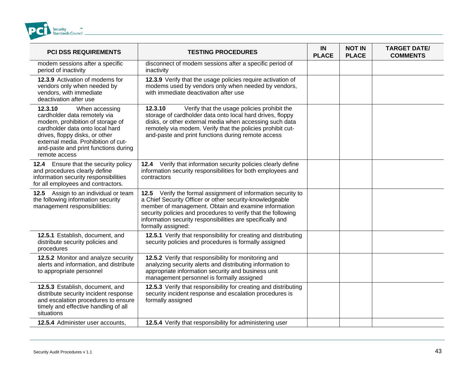

| <b>PCI DSS REQUIREMENTS</b>                                                                                                                                                                                                                                        | <b>TESTING PROCEDURES</b>                                                                                                                                                                                                                                                                                                             | IN<br><b>PLACE</b> | <b>NOT IN</b><br><b>PLACE</b> | <b>TARGET DATE/</b><br><b>COMMENTS</b> |
|--------------------------------------------------------------------------------------------------------------------------------------------------------------------------------------------------------------------------------------------------------------------|---------------------------------------------------------------------------------------------------------------------------------------------------------------------------------------------------------------------------------------------------------------------------------------------------------------------------------------|--------------------|-------------------------------|----------------------------------------|
| modem sessions after a specific<br>period of inactivity                                                                                                                                                                                                            | disconnect of modem sessions after a specific period of<br>inactivity                                                                                                                                                                                                                                                                 |                    |                               |                                        |
| 12.3.9 Activation of modems for<br>vendors only when needed by<br>vendors, with immediate<br>deactivation after use                                                                                                                                                | 12.3.9 Verify that the usage policies require activation of<br>modems used by vendors only when needed by vendors,<br>with immediate deactivation after use                                                                                                                                                                           |                    |                               |                                        |
| 12.3.10<br>When accessing<br>cardholder data remotely via<br>modem, prohibition of storage of<br>cardholder data onto local hard<br>drives, floppy disks, or other<br>external media. Prohibition of cut-<br>and-paste and print functions during<br>remote access | 12.3.10<br>Verify that the usage policies prohibit the<br>storage of cardholder data onto local hard drives, floppy<br>disks, or other external media when accessing such data<br>remotely via modem. Verify that the policies prohibit cut-<br>and-paste and print functions during remote access                                    |                    |                               |                                        |
| 12.4 Ensure that the security policy<br>and procedures clearly define<br>information security responsibilities<br>for all employees and contractors.                                                                                                               | 12.4 Verify that information security policies clearly define<br>information security responsibilities for both employees and<br>contractors                                                                                                                                                                                          |                    |                               |                                        |
| 12.5 Assign to an individual or team<br>the following information security<br>management responsibilities:                                                                                                                                                         | 12.5 Verify the formal assignment of information security to<br>a Chief Security Officer or other security-knowledgeable<br>member of management. Obtain and examine information<br>security policies and procedures to verify that the following<br>information security responsibilities are specifically and<br>formally assigned: |                    |                               |                                        |
| 12.5.1 Establish, document, and<br>distribute security policies and<br>procedures                                                                                                                                                                                  | 12.5.1 Verify that responsibility for creating and distributing<br>security policies and procedures is formally assigned                                                                                                                                                                                                              |                    |                               |                                        |
| 12.5.2 Monitor and analyze security<br>alerts and information, and distribute<br>to appropriate personnel                                                                                                                                                          | 12.5.2 Verify that responsibility for monitoring and<br>analyzing security alerts and distributing information to<br>appropriate information security and business unit<br>management personnel is formally assigned                                                                                                                  |                    |                               |                                        |
| 12.5.3 Establish, document, and<br>distribute security incident response<br>and escalation procedures to ensure<br>timely and effective handling of all<br>situations                                                                                              | 12.5.3 Verify that responsibility for creating and distributing<br>security incident response and escalation procedures is<br>formally assigned                                                                                                                                                                                       |                    |                               |                                        |
| 12.5.4 Administer user accounts,                                                                                                                                                                                                                                   | 12.5.4 Verify that responsibility for administering user                                                                                                                                                                                                                                                                              |                    |                               |                                        |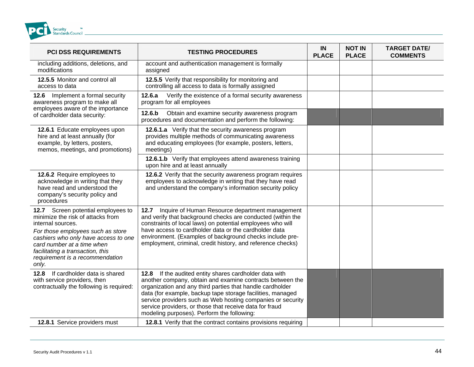

| <b>PCI DSS REQUIREMENTS</b>                                                                                                                                                                                                                                                             | <b>TESTING PROCEDURES</b>                                                                                                                                                                                                                                                                                                                                                                                              | IN<br><b>PLACE</b> | <b>NOT IN</b><br><b>PLACE</b> | <b>TARGET DATE/</b><br><b>COMMENTS</b> |
|-----------------------------------------------------------------------------------------------------------------------------------------------------------------------------------------------------------------------------------------------------------------------------------------|------------------------------------------------------------------------------------------------------------------------------------------------------------------------------------------------------------------------------------------------------------------------------------------------------------------------------------------------------------------------------------------------------------------------|--------------------|-------------------------------|----------------------------------------|
| including additions, deletions, and<br>modifications                                                                                                                                                                                                                                    | account and authentication management is formally<br>assigned                                                                                                                                                                                                                                                                                                                                                          |                    |                               |                                        |
| 12.5.5 Monitor and control all<br>access to data                                                                                                                                                                                                                                        | 12.5.5 Verify that responsibility for monitoring and<br>controlling all access to data is formally assigned                                                                                                                                                                                                                                                                                                            |                    |                               |                                        |
| 12.6 Implement a formal security<br>awareness program to make all<br>employees aware of the importance                                                                                                                                                                                  | Verify the existence of a formal security awareness<br>12.6.a<br>program for all employees                                                                                                                                                                                                                                                                                                                             |                    |                               |                                        |
| of cardholder data security:                                                                                                                                                                                                                                                            | 12.6.b<br>Obtain and examine security awareness program<br>procedures and documentation and perform the following:                                                                                                                                                                                                                                                                                                     |                    |                               |                                        |
| 12.6.1 Educate employees upon<br>hire and at least annually (for<br>example, by letters, posters,<br>memos, meetings, and promotions)                                                                                                                                                   | 12.6.1.a Verify that the security awareness program<br>provides multiple methods of communicating awareness<br>and educating employees (for example, posters, letters,<br>meetings)                                                                                                                                                                                                                                    |                    |                               |                                        |
|                                                                                                                                                                                                                                                                                         | 12.6.1.b Verify that employees attend awareness training<br>upon hire and at least annually                                                                                                                                                                                                                                                                                                                            |                    |                               |                                        |
| 12.6.2 Require employees to<br>acknowledge in writing that they<br>have read and understood the<br>company's security policy and<br>procedures                                                                                                                                          | 12.6.2 Verify that the security awareness program requires<br>employees to acknowledge in writing that they have read<br>and understand the company's information security policy                                                                                                                                                                                                                                      |                    |                               |                                        |
| 12.7 Screen potential employees to<br>minimize the risk of attacks from<br>internal sources.<br>For those employees such as store<br>cashiers who only have access to one<br>card number at a time when<br>facilitating a transaction, this<br>requirement is a recommendation<br>only. | Inquire of Human Resource department management<br>12.7<br>and verify that background checks are conducted (within the<br>constraints of local laws) on potential employees who will<br>have access to cardholder data or the cardholder data<br>environment. (Examples of background checks include pre-<br>employment, criminal, credit history, and reference checks)                                               |                    |                               |                                        |
| If cardholder data is shared<br>12.8<br>with service providers, then<br>contractually the following is required:                                                                                                                                                                        | 12.8 If the audited entity shares cardholder data with<br>another company, obtain and examine contracts between the<br>organization and any third parties that handle cardholder<br>data (for example, backup tape storage facilities, managed<br>service providers such as Web hosting companies or security<br>service providers, or those that receive data for fraud<br>modeling purposes). Perform the following: |                    |                               |                                        |
| 12.8.1 Service providers must                                                                                                                                                                                                                                                           | 12.8.1 Verify that the contract contains provisions requiring                                                                                                                                                                                                                                                                                                                                                          |                    |                               |                                        |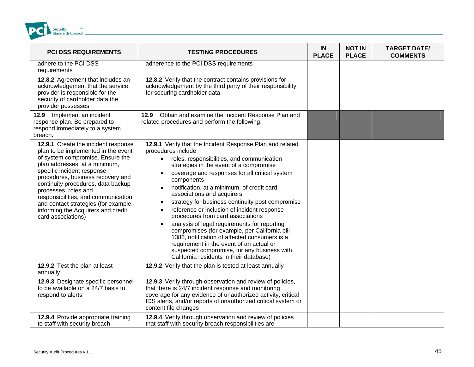

| <b>PCI DSS REQUIREMENTS</b>                                                                                                                                                                                                                                                                                                                                                                                                 | <b>TESTING PROCEDURES</b>                                                                                                                                                                                                                                                                                                                                                                                                                                                                                                                                                                                                                                                                                                                                                                   | IN<br><b>PLACE</b> | <b>NOT IN</b><br><b>PLACE</b> | <b>TARGET DATE/</b><br><b>COMMENTS</b> |
|-----------------------------------------------------------------------------------------------------------------------------------------------------------------------------------------------------------------------------------------------------------------------------------------------------------------------------------------------------------------------------------------------------------------------------|---------------------------------------------------------------------------------------------------------------------------------------------------------------------------------------------------------------------------------------------------------------------------------------------------------------------------------------------------------------------------------------------------------------------------------------------------------------------------------------------------------------------------------------------------------------------------------------------------------------------------------------------------------------------------------------------------------------------------------------------------------------------------------------------|--------------------|-------------------------------|----------------------------------------|
| adhere to the PCI DSS<br>requirements                                                                                                                                                                                                                                                                                                                                                                                       | adherence to the PCI DSS requirements                                                                                                                                                                                                                                                                                                                                                                                                                                                                                                                                                                                                                                                                                                                                                       |                    |                               |                                        |
| 12.8.2 Agreement that includes an<br>acknowledgement that the service<br>provider is responsible for the<br>security of cardholder data the<br>provider possesses                                                                                                                                                                                                                                                           | 12.8.2 Verify that the contract contains provisions for<br>acknowledgement by the third party of their responsibility<br>for securing cardholder data                                                                                                                                                                                                                                                                                                                                                                                                                                                                                                                                                                                                                                       |                    |                               |                                        |
| Implement an incident<br>12.9<br>response plan. Be prepared to<br>respond immediately to a system<br>breach.                                                                                                                                                                                                                                                                                                                | 12.9 Obtain and examine the Incident Response Plan and<br>related procedures and perform the following:                                                                                                                                                                                                                                                                                                                                                                                                                                                                                                                                                                                                                                                                                     |                    |                               |                                        |
| 12.9.1 Create the incident response<br>plan to be implemented in the event<br>of system compromise. Ensure the<br>plan addresses, at a minimum,<br>specific incident response<br>procedures, business recovery and<br>continuity procedures, data backup<br>processes, roles and<br>responsibilities, and communication<br>and contact strategies (for example,<br>informing the Acquirers and credit<br>card associations) | 12.9.1 Verify that the Incident Response Plan and related<br>procedures include<br>roles, responsibilities, and communication<br>$\bullet$<br>strategies in the event of a compromise<br>coverage and responses for all critical system<br>components<br>notification, at a minimum, of credit card<br>associations and acquirers<br>strategy for business continuity post compromise<br>$\bullet$<br>reference or inclusion of incident response<br>$\bullet$<br>procedures from card associations<br>analysis of legal requirements for reporting<br>compromises (for example, per California bill<br>1386, notification of affected consumers is a<br>requirement in the event of an actual or<br>suspected compromise, for any business with<br>California residents in their database) |                    |                               |                                        |
| 12.9.2 Test the plan at least<br>annually                                                                                                                                                                                                                                                                                                                                                                                   | 12.9.2 Verify that the plan is tested at least annually                                                                                                                                                                                                                                                                                                                                                                                                                                                                                                                                                                                                                                                                                                                                     |                    |                               |                                        |
| 12.9.3 Designate specific personnel<br>to be available on a 24/7 basis to<br>respond to alerts                                                                                                                                                                                                                                                                                                                              | 12.9.3 Verify through observation and review of policies,<br>that there is 24/7 incident response and monitoring<br>coverage for any evidence of unauthorized activity, critical<br>IDS alerts, and/or reports of unauthorized critical system or<br>content file changes                                                                                                                                                                                                                                                                                                                                                                                                                                                                                                                   |                    |                               |                                        |
| 12.9.4 Provide appropriate training<br>to staff with security breach                                                                                                                                                                                                                                                                                                                                                        | 12.9.4 Verify through observation and review of policies<br>that staff with security breach responsibilities are                                                                                                                                                                                                                                                                                                                                                                                                                                                                                                                                                                                                                                                                            |                    |                               |                                        |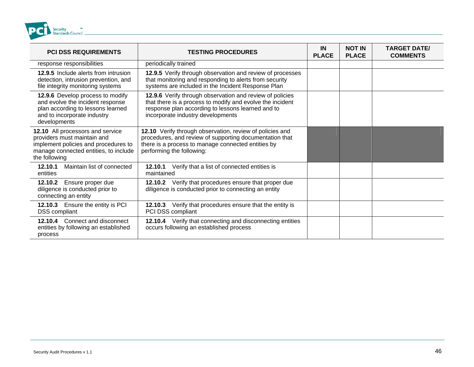

| <b>PCI DSS REQUIREMENTS</b>                                                                                                                                       | <b>TESTING PROCEDURES</b>                                                                                                                                                                                       | <b>IN</b><br><b>PLACE</b> | <b>NOT IN</b><br><b>PLACE</b> | <b>TARGET DATE/</b><br><b>COMMENTS</b> |
|-------------------------------------------------------------------------------------------------------------------------------------------------------------------|-----------------------------------------------------------------------------------------------------------------------------------------------------------------------------------------------------------------|---------------------------|-------------------------------|----------------------------------------|
| response responsibilities                                                                                                                                         | periodically trained                                                                                                                                                                                            |                           |                               |                                        |
| <b>12.9.5</b> Include alerts from intrusion<br>detection, intrusion prevention, and<br>file integrity monitoring systems                                          | 12.9.5 Verify through observation and review of processes<br>that monitoring and responding to alerts from security<br>systems are included in the Incident Response Plan                                       |                           |                               |                                        |
| 12.9.6 Develop process to modify<br>and evolve the incident response<br>plan according to lessons learned<br>and to incorporate industry<br>developments          | 12.9.6 Verify through observation and review of policies<br>that there is a process to modify and evolve the incident<br>response plan according to lessons learned and to<br>incorporate industry developments |                           |                               |                                        |
| 12.10 All processors and service<br>providers must maintain and<br>implement policies and procedures to<br>manage connected entities, to include<br>the following | 12.10 Verify through observation, review of policies and<br>procedures, and review of supporting documentation that<br>there is a process to manage connected entities by<br>performing the following:          |                           |                               |                                        |
| Maintain list of connected<br>12.10.1<br>entities                                                                                                                 | 12.10.1 Verify that a list of connected entities is<br>maintained                                                                                                                                               |                           |                               |                                        |
| Ensure proper due<br>12.10.2<br>diligence is conducted prior to<br>connecting an entity                                                                           | 12.10.2 Verify that procedures ensure that proper due<br>diligence is conducted prior to connecting an entity                                                                                                   |                           |                               |                                        |
| 12.10.3 Ensure the entity is PCI<br><b>DSS</b> compliant                                                                                                          | 12.10.3 Verify that procedures ensure that the entity is<br>PCI DSS compliant                                                                                                                                   |                           |                               |                                        |
| 12.10.4 Connect and disconnect<br>entities by following an established<br>process                                                                                 | 12.10.4 Verify that connecting and disconnecting entities<br>occurs following an established process                                                                                                            |                           |                               |                                        |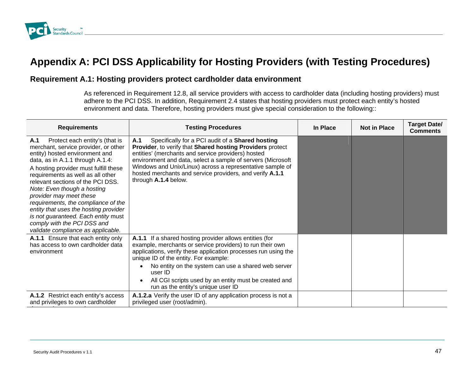

# Appendix A: PCI DSS Applicability for Hosting Providers (with Testing Procedures)

### **R rov equirement A.1: Hosting p iders protect cardholder data environment**

As referenced in Requirement 12.8, all service providers with access to cardholder data (including hosting providers) must adhere to the PCI DSS. In addition, Requirement 2.4 states that hosting providers must protect each entity's hosted environment and data. Therefore, hosting providers must give special consideration to the following::

| <b>Requirements</b>                                                                                                                                                                                                                                                                                                                                                                                                                                                                                                          | <b>Testing Procedures</b>                                                                                                                                                                                                                                                                                                                                                                        | In Place | <b>Not in Place</b> | <b>Target Date/</b><br><b>Comments</b> |
|------------------------------------------------------------------------------------------------------------------------------------------------------------------------------------------------------------------------------------------------------------------------------------------------------------------------------------------------------------------------------------------------------------------------------------------------------------------------------------------------------------------------------|--------------------------------------------------------------------------------------------------------------------------------------------------------------------------------------------------------------------------------------------------------------------------------------------------------------------------------------------------------------------------------------------------|----------|---------------------|----------------------------------------|
| Protect each entity's (that is<br>A.1<br>merchant, service provider, or other<br>entity) hosted environment and<br>data, as in A.1.1 through A.1.4:<br>A hosting provider must fulfill these<br>requirements as well as all other<br>relevant sections of the PCI DSS.<br>Note: Even though a hosting<br>provider may meet these<br>requirements, the compliance of the<br>entity that uses the hosting provider<br>is not guaranteed. Each entity must<br>comply with the PCI DSS and<br>validate compliance as applicable. | Specifically for a PCI audit of a Shared hosting<br>A.1<br>Provider, to verify that Shared hosting Providers protect<br>entities' (merchants and service providers) hosted<br>environment and data, select a sample of servers (Microsoft<br>Windows and Unix/Linux) across a representative sample of<br>hosted merchants and service providers, and verify A.1.1<br>through A.1.4 below.       |          |                     |                                        |
| A.1.1 Ensure that each entity only<br>has access to own cardholder data<br>environment                                                                                                                                                                                                                                                                                                                                                                                                                                       | A.1.1 If a shared hosting provider allows entities (for<br>example, merchants or service providers) to run their own<br>applications, verify these application processes run using the<br>unique ID of the entity. For example:<br>No entity on the system can use a shared web server<br>user ID<br>All CGI scripts used by an entity must be created and<br>run as the entity's unique user ID |          |                     |                                        |
| A.1.2 Restrict each entity's access<br>and privileges to own cardholder                                                                                                                                                                                                                                                                                                                                                                                                                                                      | A.1.2.a Verify the user ID of any application process is not a<br>privileged user (root/admin).                                                                                                                                                                                                                                                                                                  |          |                     |                                        |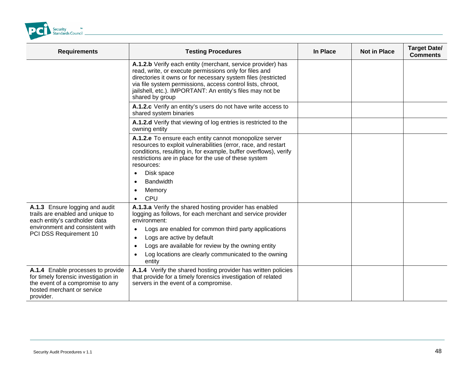<span id="page-47-0"></span>

| <b>Requirements</b>                                                                                                                                      | <b>Testing Procedures</b>                                                                                                                                                                                                                                                                                                            | In Place | <b>Not in Place</b> | <b>Target Date/</b><br><b>Comments</b> |
|----------------------------------------------------------------------------------------------------------------------------------------------------------|--------------------------------------------------------------------------------------------------------------------------------------------------------------------------------------------------------------------------------------------------------------------------------------------------------------------------------------|----------|---------------------|----------------------------------------|
|                                                                                                                                                          | A.1.2.b Verify each entity (merchant, service provider) has<br>read, write, or execute permissions only for files and<br>directories it owns or for necessary system files (restricted<br>via file system permissions, access control lists, chroot,<br>jailshell, etc.). IMPORTANT: An entity's files may not be<br>shared by group |          |                     |                                        |
|                                                                                                                                                          | A.1.2.c Verify an entity's users do not have write access to<br>shared system binaries                                                                                                                                                                                                                                               |          |                     |                                        |
|                                                                                                                                                          | A.1.2.d Verify that viewing of log entries is restricted to the<br>owning entity                                                                                                                                                                                                                                                     |          |                     |                                        |
|                                                                                                                                                          | A.1.2.e To ensure each entity cannot monopolize server<br>resources to exploit vulnerabilities (error, race, and restart<br>conditions, resulting in, for example, buffer overflows), verify<br>restrictions are in place for the use of these system<br>resources:                                                                  |          |                     |                                        |
|                                                                                                                                                          | Disk space<br>$\bullet$                                                                                                                                                                                                                                                                                                              |          |                     |                                        |
|                                                                                                                                                          | <b>Bandwidth</b><br>$\bullet$                                                                                                                                                                                                                                                                                                        |          |                     |                                        |
|                                                                                                                                                          | Memory                                                                                                                                                                                                                                                                                                                               |          |                     |                                        |
|                                                                                                                                                          | CPU                                                                                                                                                                                                                                                                                                                                  |          |                     |                                        |
| A.1.3 Ensure logging and audit<br>trails are enabled and unique to<br>each entity's cardholder data                                                      | A.1.3.a Verify the shared hosting provider has enabled<br>logging as follows, for each merchant and service provider<br>environment:                                                                                                                                                                                                 |          |                     |                                        |
| environment and consistent with                                                                                                                          | Logs are enabled for common third party applications<br>$\bullet$                                                                                                                                                                                                                                                                    |          |                     |                                        |
| PCI DSS Requirement 10                                                                                                                                   | Logs are active by default<br>$\bullet$                                                                                                                                                                                                                                                                                              |          |                     |                                        |
|                                                                                                                                                          | Logs are available for review by the owning entity                                                                                                                                                                                                                                                                                   |          |                     |                                        |
|                                                                                                                                                          | Log locations are clearly communicated to the owning<br>$\bullet$<br>entity                                                                                                                                                                                                                                                          |          |                     |                                        |
| A.1.4 Enable processes to provide<br>for timely forensic investigation in<br>the event of a compromise to any<br>hosted merchant or service<br>provider. | A.1.4 Verify the shared hosting provider has written policies<br>that provide for a timely forensics investigation of related<br>servers in the event of a compromise.                                                                                                                                                               |          |                     |                                        |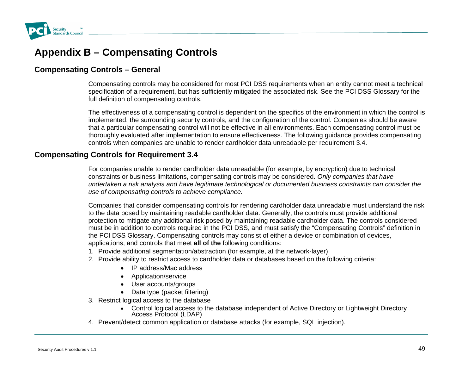

## **Appendix B – Compensating Controls**

### **Compensating Controls – General**

Compensating controls may be considered for most PCI DSS requirements when an entity cannot meet a technical specification of a requirement, but has sufficiently mitigated the associated risk. See the PCI DSS Glossary for the full definition of compensating controls.

The effectiveness of a compensating control is dependent on the specifics of the environment in which the control is implemented, the surrounding security controls, and the configuration of the control. Companies should be aware that a particular compensating control will not be effective in all environments. Each compensating control must be thoroughly evaluated after implementation to ensure effectiveness. The following guidance provides compensating controls when companies are unable to render cardholder data unreadable per requirement 3.4.

### **Compensating Controls fo r Requirement 3.4**

For companies unable to render cardholder data unreadable (for example, by encryption) due to technical constraints or business limitations, compensating controls may be considered. *Only companies that have undertaken a risk analysis and have legitimate technological or documented business constraints can consider the use of compen to achieve compliance. sating controls*

Companies that consider compensating controls for rendering cardholder data unreadable must understand the risk to the data posed by maintaining readable cardholder data. Generally, the controls must provide additional protection to mitigate any additional risk posed by maintaining readable cardholder data. The controls considered must be in addition to controls required in the PCI DSS, and must satisfy the "Compensating Controls" definition in the PCI DSS Glossary. Compensating controls may consist of either a device or combination of devices, applications, and controls that meet **all of the** following conditions:

- 1. Provide additional segmentation/abstraction (for example, at the network-layer)
- 2. Provide ability to restrict access to cardholder data or databases based on the following criteria:
	- IP address/Mac address
	- Application/service
	- User accounts/groups
	- •Data type (packet filtering)
- 3. Restrict logical access to the database
	- Control logical access to the database independent of Active Directory or Lightweight Directory Access Protocol (LDAP)
- 4. Prevent/detect common application or database attacks (for example, SQL injection).